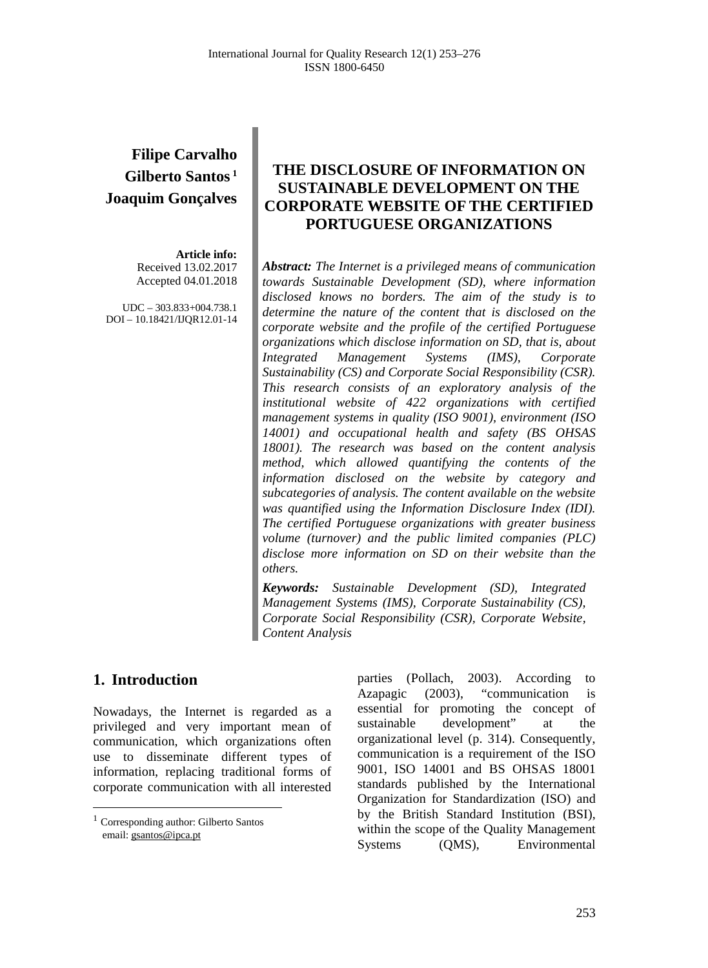# **Filipe Carvalho Gilberto Santos <sup>1</sup> Joaquim Gonçalves**

# **Article info:**

Received 13.02.2017 Accepted 04.01.2018

UDC – 303.833+004.738.1 DOI – 10.18421/IJQR12.01-14

# **THE DISCLOSURE OF INFORMATION ON SUSTAINABLE DEVELOPMENT ON THE CORPORATE WEBSITE OF THE CERTIFIED PORTUGUESE ORGANIZATIONS**

*Abstract: The Internet is a privileged means of communication towards Sustainable Development (SD), where information disclosed knows no borders. The aim of the study is to determine the nature of the content that is disclosed on the corporate website and the profile of the certified Portuguese organizations which disclose information on SD, that is, about Integrated Management Systems (IMS), Corporate Sustainability (CS) and Corporate Social Responsibility (CSR). This research consists of an exploratory analysis of the institutional website of 422 organizations with certified management systems in quality (ISO 9001), environment (ISO 14001) and occupational health and safety (BS OHSAS 18001). The research was based on the content analysis method, which allowed quantifying the contents of the information disclosed on the website by category and subcategories of analysis. The content available on the website was quantified using the Information Disclosure Index (IDI). The certified Portuguese organizations with greater business volume (turnover) and the public limited companies (PLC) disclose more information on SD on their website than the others.*

*Keywords: Sustainable Development (SD), Integrated Management Systems (IMS), Corporate Sustainability (CS), Corporate Social Responsibility (CSR), Corporate Website, Content Analysis*

# **1. Introduction[1](#page-0-0)**

Nowadays, the Internet is regarded as a privileged and very important mean of communication, which organizations often use to disseminate different types of information, replacing traditional forms of corporate communication with all interested parties (Pollach, 2003). According to Azapagic (2003), "communication is essential for promoting the concept of sustainable development" at the organizational level (p. 314). Consequently, communication is a requirement of the ISO 9001, ISO 14001 and BS OHSAS 18001 standards published by the International Organization for Standardization (ISO) and by the British Standard Institution (BSI), within the scope of the Quality Management Systems (QMS), Environmental

<span id="page-0-0"></span> <sup>1</sup> Corresponding author: Gilberto Santos email: [gsantos@ipca.pt](mailto:gsantos@ipca.pt)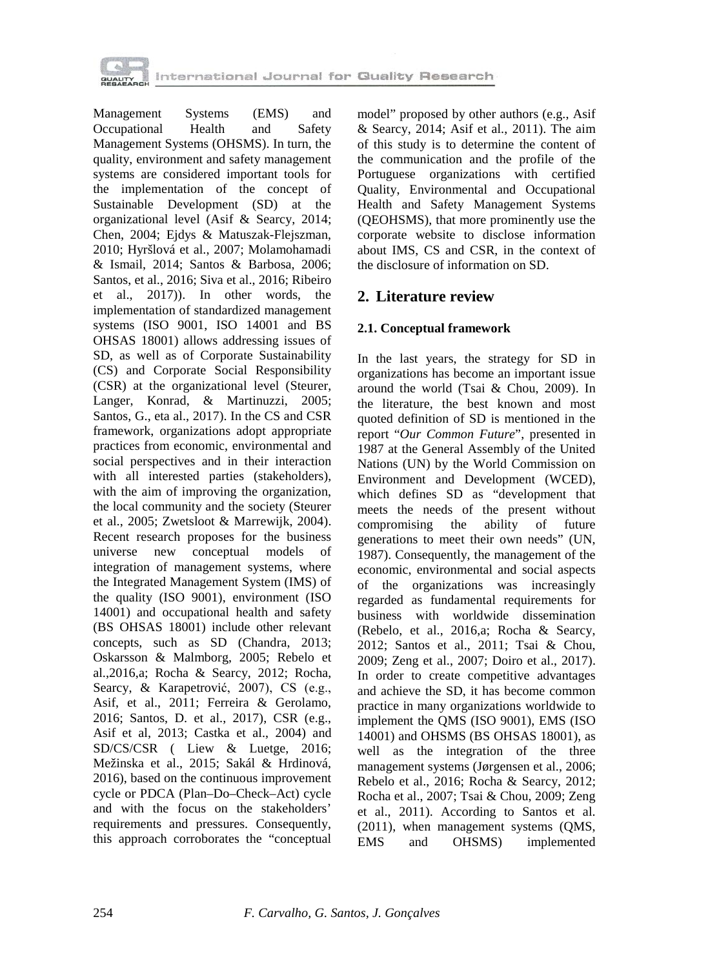

Management Systems (EMS) and Occupational Health and Safety Management Systems (OHSMS). In turn, the quality, environment and safety management systems are considered important tools for the implementation of the concept of Sustainable Development (SD) at the organizational level (Asif & Searcy, 2014; Chen, 2004; Ejdys & Matuszak-Flejszman, 2010; Hyršlová et al., 2007; Molamohamadi & Ismail, 2014; Santos & Barbosa, 2006; Santos, et al., 2016; Siva et al., 2016; Ribeiro et al., 2017)). In other words, the implementation of standardized management systems (ISO 9001, ISO 14001 and BS OHSAS 18001) allows addressing issues of SD, as well as of Corporate Sustainability (CS) and Corporate Social Responsibility (CSR) at the organizational level (Steurer, Langer, Konrad, & Martinuzzi, 2005; Santos, G., eta al., 2017). In the CS and CSR framework, organizations adopt appropriate practices from economic, environmental and social perspectives and in their interaction with all interested parties (stakeholders), with the aim of improving the organization, the local community and the society (Steurer et al., 2005; Zwetsloot & Marrewijk, 2004). Recent research proposes for the business universe new conceptual models of integration of management systems, where the Integrated Management System (IMS) of the quality (ISO 9001), environment (ISO 14001) and occupational health and safety (BS OHSAS 18001) include other relevant concepts, such as SD (Chandra, 2013; Oskarsson & Malmborg, 2005; Rebelo et al.,2016,a; Rocha & Searcy, 2012; Rocha, Searcy, & Karapetrović, 2007), CS (e.g., Asif, et al., 2011; Ferreira & Gerolamo, 2016; Santos, D. et al., 2017), CSR (e.g., Asif et al, 2013; Castka et al., 2004) and SD/CS/CSR ( Liew & Luetge, 2016; Mežinska et al., 2015; Sakál & Hrdinová, 2016), based on the continuous improvement cycle or PDCA (Plan–Do–Check–Act) cycle and with the focus on the stakeholders' requirements and pressures. Consequently, this approach corroborates the "conceptual

model" proposed by other authors (e.g., Asif & Searcy, 2014; Asif et al., 2011). The aim of this study is to determine the content of the communication and the profile of the Portuguese organizations with certified Quality, Environmental and Occupational Health and Safety Management Systems (QEOHSMS), that more prominently use the corporate website to disclose information about IMS, CS and CSR, in the context of the disclosure of information on SD.

# **2. Literature review**

### **2.1. Conceptual framework**

In the last years, the strategy for SD in organizations has become an important issue around the world (Tsai & Chou, 2009). In the literature, the best known and most quoted definition of SD is mentioned in the report "*Our Common Future*", presented in 1987 at the General Assembly of the United Nations (UN) by the World Commission on Environment and Development (WCED), which defines SD as "development that meets the needs of the present without compromising the ability of future generations to meet their own needs" (UN, 1987). Consequently, the management of the economic, environmental and social aspects of the organizations was increasingly regarded as fundamental requirements for business with worldwide dissemination (Rebelo, et al., 2016,a; Rocha & Searcy, 2012; Santos et al., 2011; Tsai & Chou, 2009; Zeng et al., 2007; Doiro et al., 2017). In order to create competitive advantages and achieve the SD, it has become common practice in many organizations worldwide to implement the QMS (ISO 9001), EMS (ISO 14001) and OHSMS (BS OHSAS 18001), as well as the integration of the three management systems (Jørgensen et al., 2006; Rebelo et al., 2016; Rocha & Searcy, 2012; Rocha et al., 2007; Tsai & Chou, 2009; Zeng et al., 2011). According to Santos et al. (2011), when management systems (QMS, EMS and OHSMS) implemented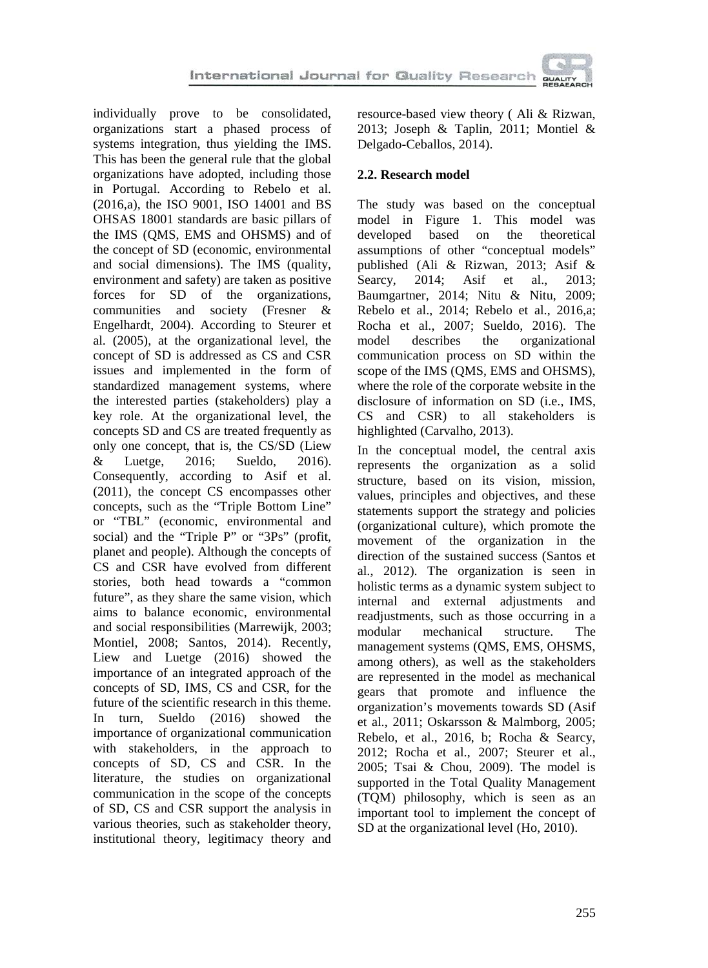individually prove to be consolidated, organizations start a phased process of systems integration, thus yielding the IMS. This has been the general rule that the global organizations have adopted, including those in Portugal. According to Rebelo et al. (2016,a), the ISO 9001, ISO 14001 and BS OHSAS 18001 standards are basic pillars of the IMS (QMS, EMS and OHSMS) and of the concept of SD (economic, environmental and social dimensions). The IMS (quality, environment and safety) are taken as positive forces for SD of the organizations, communities and society (Fresner & Engelhardt, 2004). According to Steurer et al. (2005), at the organizational level, the concept of SD is addressed as CS and CSR issues and implemented in the form of standardized management systems, where the interested parties (stakeholders) play a key role. At the organizational level, the concepts SD and CS are treated frequently as only one concept, that is, the CS/SD (Liew & Luetge, 2016; Sueldo, 2016). Consequently, according to Asif et al. (2011), the concept CS encompasses other concepts, such as the "Triple Bottom Line" or "TBL" (economic, environmental and social) and the "Triple P" or "3Ps" (profit, planet and people). Although the concepts of CS and CSR have evolved from different stories, both head towards a "common future", as they share the same vision, which aims to balance economic, environmental and social responsibilities (Marrewijk, 2003; Montiel, 2008; Santos, 2014). Recently, Liew and Luetge (2016) showed the importance of an integrated approach of the concepts of SD, IMS, CS and CSR, for the future of the scientific research in this theme. In turn, Sueldo (2016) showed the importance of organizational communication with stakeholders, in the approach to concepts of SD, CS and CSR. In the literature, the studies on organizational communication in the scope of the concepts of SD, CS and CSR support the analysis in various theories, such as stakeholder theory, institutional theory, legitimacy theory and resource-based view theory ( Ali & Rizwan, 2013; Joseph & Taplin, 2011; Montiel & Delgado-Ceballos, 2014).

### **2.2. Research model**

The study was based on the conceptual model in Figure 1. This model was developed based on the theoretical assumptions of other "conceptual models" published (Ali & Rizwan, 2013; Asif & Searcy, 2014; Asif et al., 2013; Baumgartner, 2014; Nitu & Nitu, 2009; Rebelo et al., 2014; Rebelo et al., 2016,a; Rocha et al., 2007; Sueldo, 2016). The model describes the organizational communication process on SD within the scope of the IMS (QMS, EMS and OHSMS), where the role of the corporate website in the disclosure of information on SD (i.e., IMS, CS and CSR) to all stakeholders is highlighted (Carvalho, 2013).

In the conceptual model, the central axis represents the organization as a solid structure, based on its vision, mission, values, principles and objectives, and these statements support the strategy and policies (organizational culture), which promote the movement of the organization in the direction of the sustained success (Santos et al., 2012). The organization is seen in holistic terms as a dynamic system subject to internal and external adjustments and readjustments, such as those occurring in a modular mechanical structure. The management systems (QMS, EMS, OHSMS, among others), as well as the stakeholders are represented in the model as mechanical gears that promote and influence the organization's movements towards SD (Asif et al., 2011; Oskarsson & Malmborg, 2005; Rebelo, et al., 2016, b; Rocha & Searcy, 2012; Rocha et al., 2007; Steurer et al., 2005; Tsai & Chou, 2009). The model is supported in the Total Quality Management (TQM) philosophy, which is seen as an important tool to implement the concept of SD at the organizational level (Ho, 2010).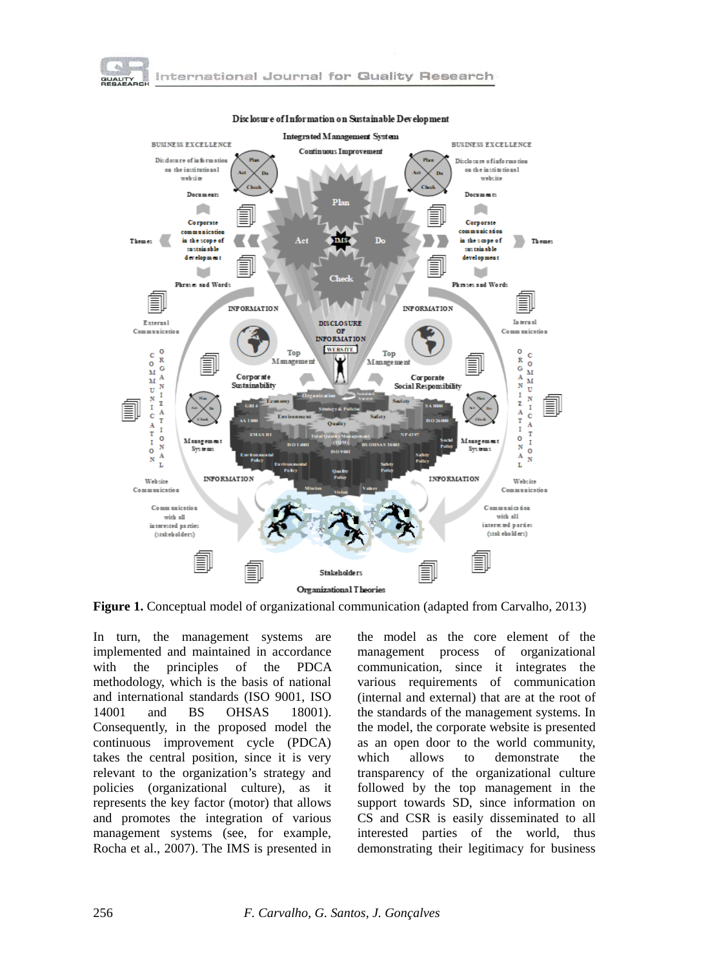



Disclosure of Information on Sustainable Development

**Figure 1.** Conceptual model of organizational communication (adapted from Carvalho, 2013)

In turn, the management systems are implemented and maintained in accordance with the principles of the PDCA methodology, which is the basis of national and international standards (ISO 9001, ISO 14001 and BS OHSAS 18001). Consequently, in the proposed model the continuous improvement cycle (PDCA) takes the central position, since it is very relevant to the organization's strategy and policies (organizational culture), as it represents the key factor (motor) that allows and promotes the integration of various management systems (see, for example, Rocha et al., 2007). The IMS is presented in

the model as the core element of the management process of organizational communication, since it integrates the various requirements of communication (internal and external) that are at the root of the standards of the management systems. In the model, the corporate website is presented as an open door to the world community, which allows to demonstrate the transparency of the organizational culture followed by the top management in the support towards SD, since information on CS and CSR is easily disseminated to all interested parties of the world, thus demonstrating their legitimacy for business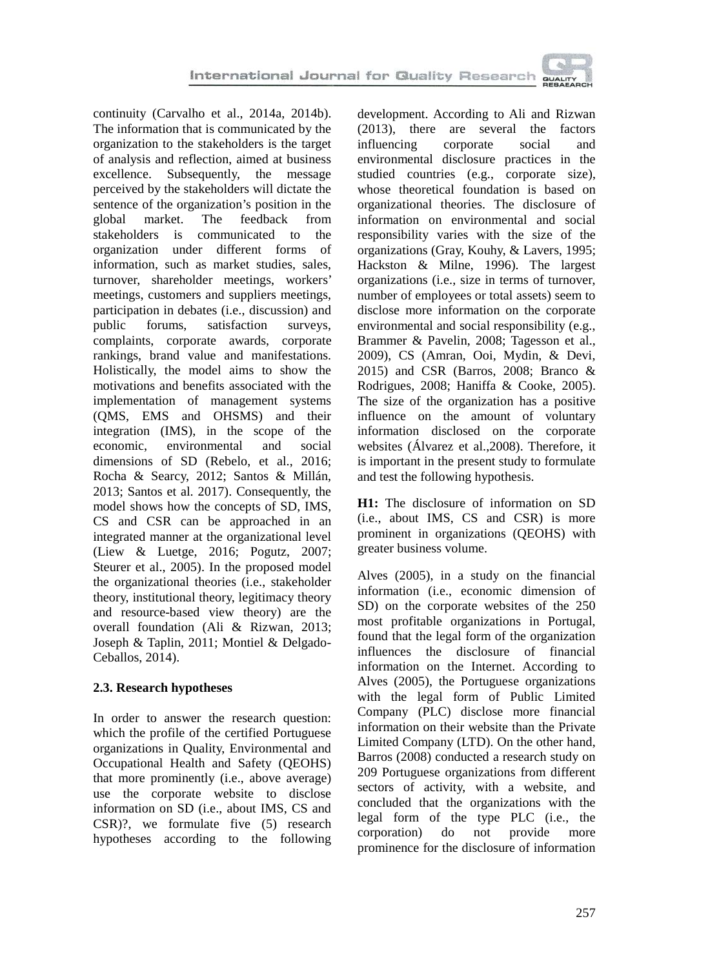continuity (Carvalho et al., 2014a, 2014b). The information that is communicated by the organization to the stakeholders is the target of analysis and reflection, aimed at business excellence. Subsequently, the message perceived by the stakeholders will dictate the sentence of the organization's position in the global market. The feedback from stakeholders is communicated to the organization under different forms of information, such as market studies, sales, turnover, shareholder meetings, workers' meetings, customers and suppliers meetings, participation in debates (i.e., discussion) and<br>public forums, satisfaction surveys, satisfaction surveys, complaints, corporate awards, corporate rankings, brand value and manifestations. Holistically, the model aims to show the motivations and benefits associated with the implementation of management systems (QMS, EMS and OHSMS) and their integration (IMS), in the scope of the economic, environmental and social dimensions of SD (Rebelo, et al., 2016; Rocha & Searcy, 2012; Santos & Millán, 2013; Santos et al. 2017). Consequently, the model shows how the concepts of SD, IMS, CS and CSR can be approached in an integrated manner at the organizational level (Liew & Luetge, 2016; Pogutz, 2007; Steurer et al., 2005). In the proposed model the organizational theories (i.e., stakeholder theory, institutional theory, legitimacy theory and resource-based view theory) are the overall foundation (Ali & Rizwan, 2013; Joseph & Taplin, 2011; Montiel & Delgado-Ceballos, 2014).

### **2.3. Research hypotheses**

In order to answer the research question: which the profile of the certified Portuguese organizations in Quality, Environmental and Occupational Health and Safety (QEOHS) that more prominently (i.e., above average) use the corporate website to disclose information on SD (i.e., about IMS, CS and CSR)?, we formulate five (5) research hypotheses according to the following development. According to Ali and Rizwan (2013), there are several the factors influencing corporate social and environmental disclosure practices in the studied countries (e.g., corporate size), whose theoretical foundation is based on organizational theories. The disclosure of information on environmental and social responsibility varies with the size of the organizations (Gray, Kouhy, & Lavers, 1995; Hackston & Milne, 1996). The largest organizations (i.e., size in terms of turnover, number of employees or total assets) seem to disclose more information on the corporate environmental and social responsibility (e.g., Brammer & Pavelin, 2008; Tagesson et al., 2009), CS (Amran, Ooi, Mydin, & Devi, 2015) and CSR (Barros, 2008; Branco & Rodrigues, 2008; Haniffa & Cooke, 2005). The size of the organization has a positive influence on the amount of voluntary information disclosed on the corporate websites (Álvarez et al.,2008). Therefore, it is important in the present study to formulate and test the following hypothesis.

**H1:** The disclosure of information on SD (i.e., about IMS, CS and CSR) is more prominent in organizations (QEOHS) with greater business volume.

Alves (2005), in a study on the financial information (i.e., economic dimension of SD) on the corporate websites of the 250 most profitable organizations in Portugal, found that the legal form of the organization influences the disclosure of financial information on the Internet. According to Alves (2005), the Portuguese organizations with the legal form of Public Limited Company (PLC) disclose more financial information on their website than the Private Limited Company (LTD). On the other hand, Barros (2008) conducted a research study on 209 Portuguese organizations from different sectors of activity, with a website, and concluded that the organizations with the legal form of the type PLC (i.e., the corporation) do not provide more prominence for the disclosure of information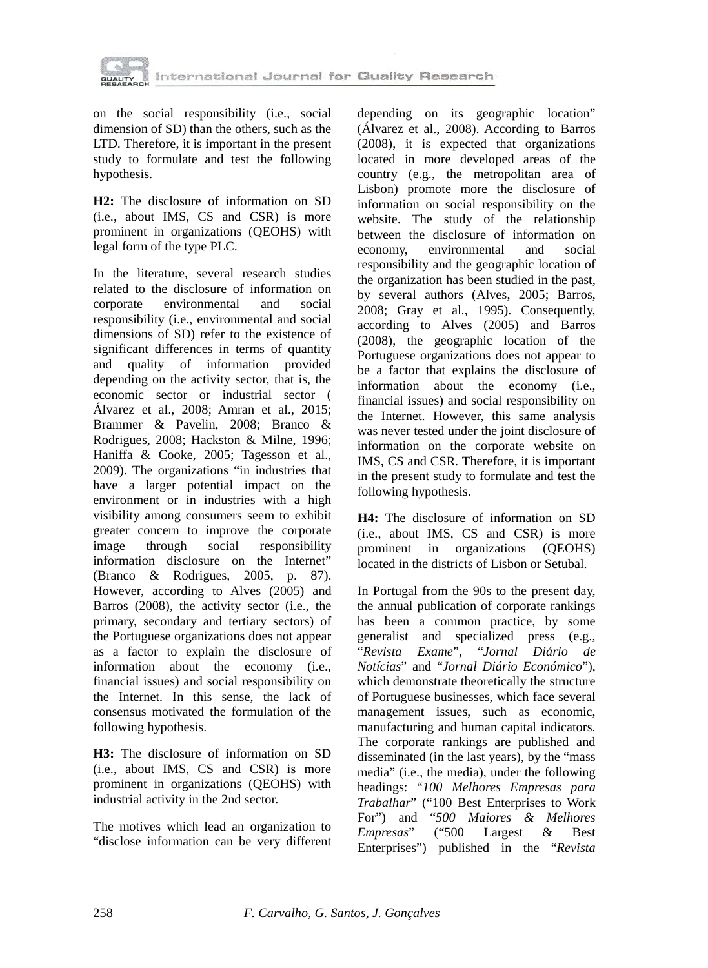

on the social responsibility (i.e., social dimension of SD) than the others, such as the LTD. Therefore, it is important in the present study to formulate and test the following hypothesis.

**H2:** The disclosure of information on SD (i.e., about IMS, CS and CSR) is more prominent in organizations (QEOHS) with legal form of the type PLC.

In the literature, several research studies related to the disclosure of information on corporate environmental and social responsibility (i.e., environmental and social dimensions of SD) refer to the existence of significant differences in terms of quantity and quality of information provided depending on the activity sector, that is, the economic sector or industrial sector ( Álvarez et al., 2008; Amran et al., 2015; Brammer & Pavelin, 2008; Branco & Rodrigues, 2008; Hackston & Milne, 1996; Haniffa & Cooke, 2005; Tagesson et al., 2009). The organizations "in industries that have a larger potential impact on the environment or in industries with a high visibility among consumers seem to exhibit greater concern to improve the corporate image through social responsibility information disclosure on the Internet" (Branco & Rodrigues, 2005, p. 87). However, according to Alves (2005) and Barros (2008), the activity sector (i.e., the primary, secondary and tertiary sectors) of the Portuguese organizations does not appear as a factor to explain the disclosure of information about the economy (i.e., financial issues) and social responsibility on the Internet. In this sense, the lack of consensus motivated the formulation of the following hypothesis.

**H3:** The disclosure of information on SD (i.e., about IMS, CS and CSR) is more prominent in organizations (QEOHS) with industrial activity in the 2nd sector.

The motives which lead an organization to "disclose information can be very different depending on its geographic location" (Álvarez et al., 2008). According to Barros (2008), it is expected that organizations located in more developed areas of the country (e.g., the metropolitan area of Lisbon) promote more the disclosure of information on social responsibility on the website. The study of the relationship between the disclosure of information on economy, environmental and social responsibility and the geographic location of the organization has been studied in the past, by several authors (Alves, 2005; Barros, 2008; Gray et al., 1995). Consequently, according to Alves (2005) and Barros (2008), the geographic location of the Portuguese organizations does not appear to be a factor that explains the disclosure of information about the economy (i.e., financial issues) and social responsibility on the Internet. However, this same analysis was never tested under the joint disclosure of information on the corporate website on IMS, CS and CSR. Therefore, it is important in the present study to formulate and test the following hypothesis.

**H4:** The disclosure of information on SD (i.e., about IMS, CS and CSR) is more prominent in organizations (QEOHS) located in the districts of Lisbon or Setubal.

In Portugal from the 90s to the present day, the annual publication of corporate rankings has been a common practice, by some generalist and specialized press (e.g., "*Revista Exame*", "*Jornal Diário de Notícias*" and "*Jornal Diário Económico*"), which demonstrate theoretically the structure of Portuguese businesses, which face several management issues, such as economic, manufacturing and human capital indicators. The corporate rankings are published and disseminated (in the last years), by the "mass media" (i.e., the media), under the following headings: "*100 Melhores Empresas para Trabalhar*" ("100 Best Enterprises to Work For") and "*500 Maiores & Melhores Empresas*" ("500 Largest & Best Enterprises") published in the "*Revista*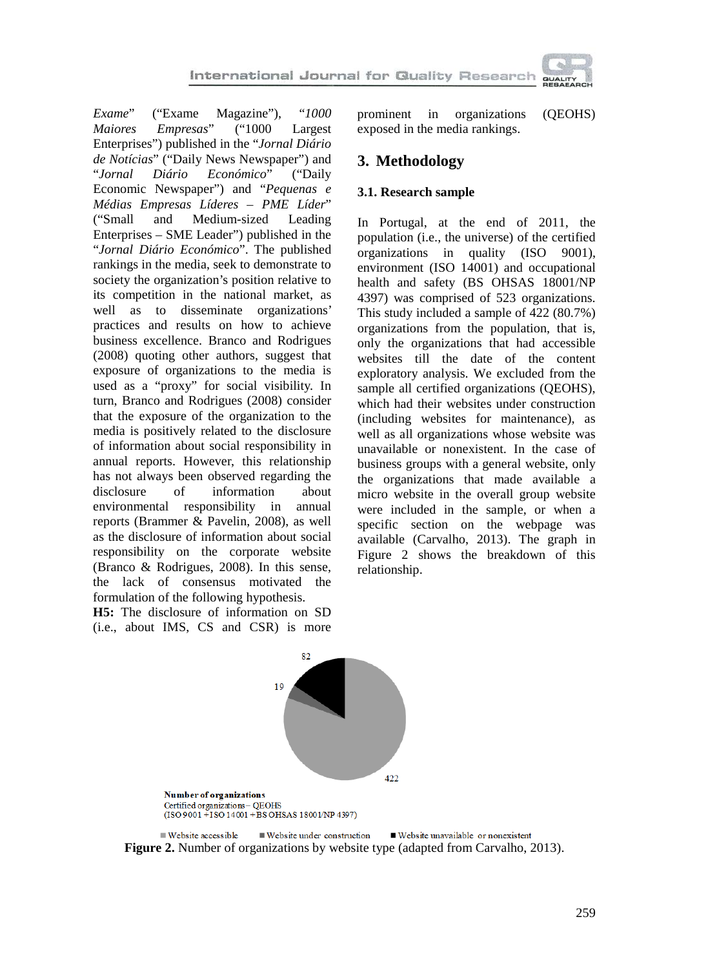

*Exame*" ("Exame Magazine"), "1000<br>*Maiores Empresas*" ("1000 Largest *Maiores Empresas*" ("1000 Largest Enterprises") published in the "*Jornal Diário de Notícias*" ("Daily News Newspaper") and "*Jornal Diário Económico*" ("Daily Economic Newspaper") and "*Pequenas e Médias Empresas Líderes – PME Líder*" ("Small and Medium-sized Leading Enterprises – SME Leader") published in the "*Jornal Diário Económico*". The published rankings in the media, seek to demonstrate to society the organization's position relative to its competition in the national market, as well as to disseminate organizations' practices and results on how to achieve business excellence. Branco and Rodrigues (2008) quoting other authors, suggest that exposure of organizations to the media is used as a "proxy" for social visibility. In turn, Branco and Rodrigues (2008) consider that the exposure of the organization to the media is positively related to the disclosure of information about social responsibility in annual reports. However, this relationship has not always been observed regarding the disclosure of information about environmental responsibility in annual reports (Brammer & Pavelin, 2008), as well as the disclosure of information about social responsibility on the corporate website (Branco & Rodrigues, 2008). In this sense, the lack of consensus motivated the formulation of the following hypothesis.

**H5:** The disclosure of information on SD (i.e., about IMS, CS and CSR) is more prominent in organizations (QEOHS) exposed in the media rankings.

# **3. Methodology**

### **3.1. Research sample**

In Portugal, at the end of 2011, the population (i.e., the universe) of the certified organizations in quality (ISO 9001), environment (ISO 14001) and occupational health and safety (BS OHSAS 18001/NP 4397) was comprised of 523 organizations. This study included a sample of 422 (80.7%) organizations from the population, that is, only the organizations that had accessible websites till the date of the content exploratory analysis. We excluded from the sample all certified organizations (QEOHS), which had their websites under construction (including websites for maintenance), as well as all organizations whose website was unavailable or nonexistent. In the case of business groups with a general website, only the organizations that made available a micro website in the overall group website were included in the sample, or when a specific section on the webpage was available (Carvalho, 2013). The graph in Figure 2 shows the breakdown of this relationship.



Website under construction ■ Website unavailable or nonexistent ■ Website accessible **Figure 2.** Number of organizations by website type (adapted from Carvalho, 2013).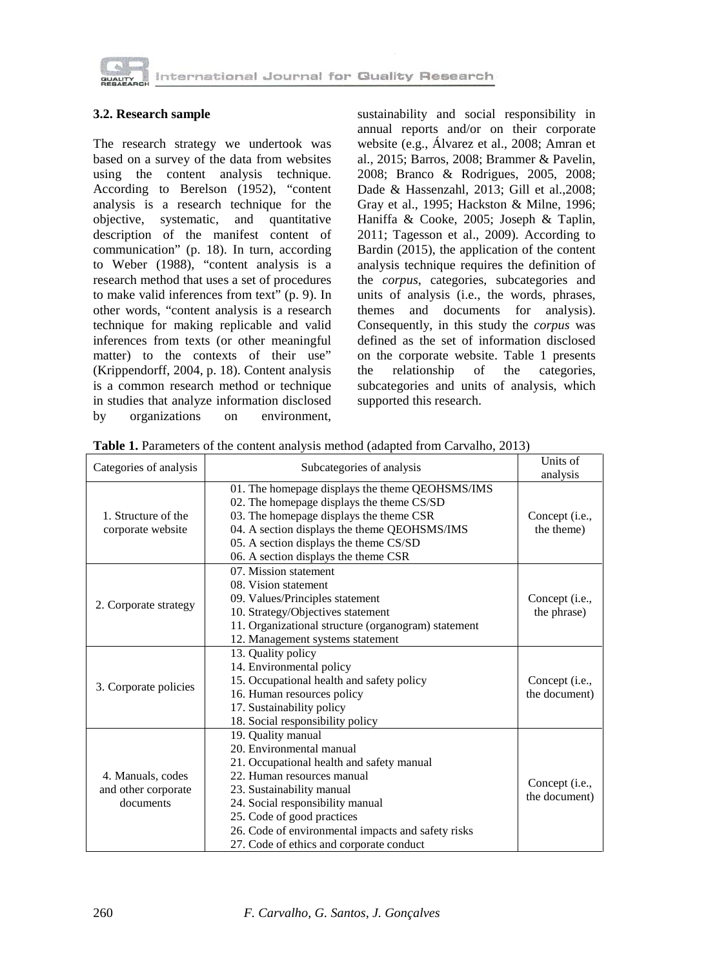

#### **3.2. Research sample**

The research strategy we undertook was based on a survey of the data from websites using the content analysis technique. According to Berelson (1952), "content analysis is a research technique for the objective, systematic, and quantitative description of the manifest content of communication" (p. 18). In turn, according to Weber (1988), "content analysis is a research method that uses a set of procedures to make valid inferences from text" (p. 9). In other words, "content analysis is a research technique for making replicable and valid inferences from texts (or other meaningful matter) to the contexts of their use" (Krippendorff, 2004, p. 18). Content analysis is a common research method or technique in studies that analyze information disclosed<br>by organizations on environment, by organizations on

sustainability and social responsibility in annual reports and/or on their corporate website (e.g., Álvarez et al., 2008; Amran et al., 2015; Barros, 2008; Brammer & Pavelin, 2008; Branco & Rodrigues, 2005, 2008; Dade & Hassenzahl, 2013; Gill et al.,2008; Gray et al., 1995; Hackston & Milne, 1996; Haniffa & Cooke, 2005; Joseph & Taplin, 2011; Tagesson et al., 2009). According to Bardin (2015), the application of the content analysis technique requires the definition of the *corpus*, categories, subcategories and units of analysis (i.e., the words, phrases, themes and documents for analysis). Consequently, in this study the *corpus* was defined as the set of information disclosed on the corporate website. Table 1 presents the relationship of the categories, subcategories and units of analysis, which supported this research.

| Categories of analysis                                | Subcategories of analysis                                                                                                                                                                                                                                                                                                  | Units of<br>analysis            |
|-------------------------------------------------------|----------------------------------------------------------------------------------------------------------------------------------------------------------------------------------------------------------------------------------------------------------------------------------------------------------------------------|---------------------------------|
| 1. Structure of the<br>corporate website              | 01. The homepage displays the theme QEOHSMS/IMS<br>02. The homepage displays the theme CS/SD<br>03. The homepage displays the theme CSR<br>04. A section displays the theme QEOHSMS/IMS<br>05. A section displays the theme CS/SD<br>06. A section displays the theme CSR                                                  | Concept (i.e.,<br>the theme)    |
| 2. Corporate strategy                                 | 07. Mission statement<br>08. Vision statement<br>09. Values/Principles statement<br>10. Strategy/Objectives statement<br>11. Organizational structure (organogram) statement<br>12. Management systems statement                                                                                                           | Concept (i.e.,<br>the phrase)   |
| 3. Corporate policies                                 | 13. Quality policy<br>14. Environmental policy<br>15. Occupational health and safety policy<br>16. Human resources policy<br>17. Sustainability policy<br>18. Social responsibility policy                                                                                                                                 | Concept (i.e.,<br>the document) |
| 4. Manuals, codes<br>and other corporate<br>documents | 19. Quality manual<br>20. Environmental manual<br>21. Occupational health and safety manual<br>22. Human resources manual<br>23. Sustainability manual<br>24. Social responsibility manual<br>25. Code of good practices<br>26. Code of environmental impacts and safety risks<br>27. Code of ethics and corporate conduct | Concept (i.e.,<br>the document) |

Table 1. Parameters of the content analysis method (adapted from Carvalho, 2013)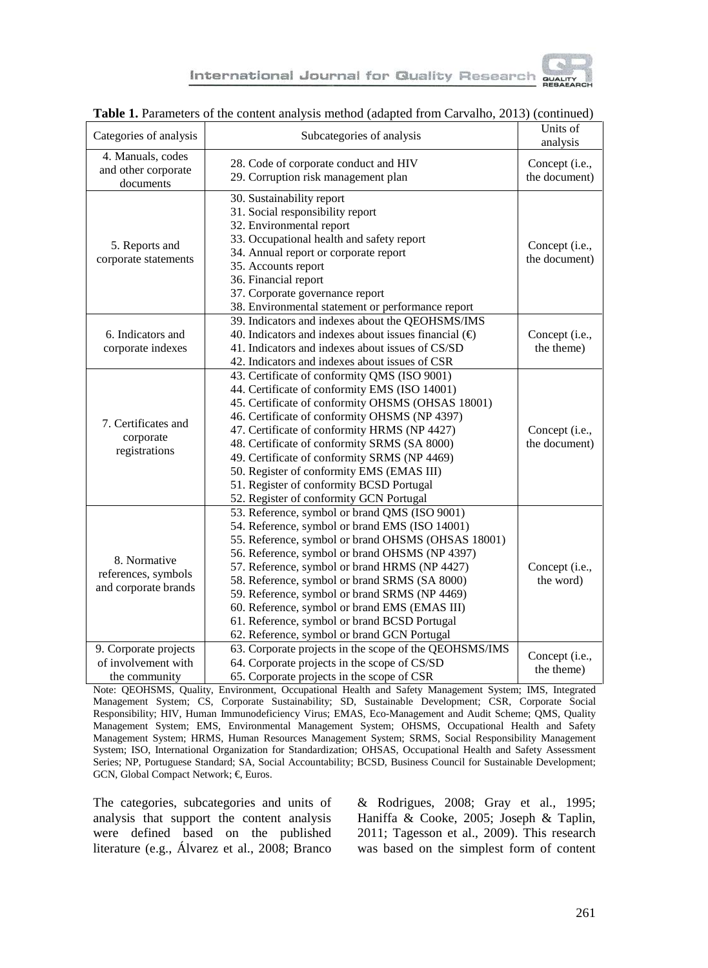

| Categories of analysis                                        | Subcategories of analysis                                                                                                                                                                                                                                                                                                                                                                                                                                                                                  | Units of<br>analysis            |  |  |  |
|---------------------------------------------------------------|------------------------------------------------------------------------------------------------------------------------------------------------------------------------------------------------------------------------------------------------------------------------------------------------------------------------------------------------------------------------------------------------------------------------------------------------------------------------------------------------------------|---------------------------------|--|--|--|
| 4. Manuals, codes<br>and other corporate<br>documents         | 28. Code of corporate conduct and HIV<br>Concept (i.e.,<br>29. Corruption risk management plan<br>the document)                                                                                                                                                                                                                                                                                                                                                                                            |                                 |  |  |  |
| 5. Reports and<br>corporate statements                        | 30. Sustainability report<br>31. Social responsibility report<br>32. Environmental report<br>33. Occupational health and safety report<br>34. Annual report or corporate report<br>35. Accounts report<br>36. Financial report<br>37. Corporate governance report<br>38. Environmental statement or performance report                                                                                                                                                                                     | Concept (i.e.,<br>the document) |  |  |  |
| 6. Indicators and<br>corporate indexes                        | 39. Indicators and indexes about the QEOHSMS/IMS<br>40. Indicators and indexes about issues financial $(\triangleleft)$<br>41. Indicators and indexes about issues of CS/SD<br>42. Indicators and indexes about issues of CSR                                                                                                                                                                                                                                                                              | Concept (i.e.,<br>the theme)    |  |  |  |
| 7. Certificates and<br>corporate<br>registrations             | 43. Certificate of conformity QMS (ISO 9001)<br>44. Certificate of conformity EMS (ISO 14001)<br>45. Certificate of conformity OHSMS (OHSAS 18001)<br>46. Certificate of conformity OHSMS (NP 4397)<br>47. Certificate of conformity HRMS (NP 4427)<br>48. Certificate of conformity SRMS (SA 8000)<br>49. Certificate of conformity SRMS (NP 4469)<br>50. Register of conformity EMS (EMAS III)<br>51. Register of conformity BCSD Portugal<br>52. Register of conformity GCN Portugal                    | Concept (i.e.,<br>the document) |  |  |  |
| 8. Normative<br>references, symbols<br>and corporate brands   | 53. Reference, symbol or brand QMS (ISO 9001)<br>54. Reference, symbol or brand EMS (ISO 14001)<br>55. Reference, symbol or brand OHSMS (OHSAS 18001)<br>56. Reference, symbol or brand OHSMS (NP 4397)<br>57. Reference, symbol or brand HRMS (NP 4427)<br>58. Reference, symbol or brand SRMS (SA 8000)<br>59. Reference, symbol or brand SRMS (NP 4469)<br>60. Reference, symbol or brand EMS (EMAS III)<br>61. Reference, symbol or brand BCSD Portugal<br>62. Reference, symbol or brand GCN Portugal | Concept (i.e.,<br>the word)     |  |  |  |
| 9. Corporate projects<br>of involvement with<br>the community | 63. Corporate projects in the scope of the QEOHSMS/IMS<br>64. Corporate projects in the scope of CS/SD<br>65. Corporate projects in the scope of CSR                                                                                                                                                                                                                                                                                                                                                       | Concept (i.e.,<br>the theme)    |  |  |  |

#### **Table 1.** Parameters of the content analysis method (adapted from Carvalho, 2013) (continued)

Note: QEOHSMS, Quality, Environment, Occupational Health and Safety Management System; IMS, Integrated Management System; CS, Corporate Sustainability; SD, Sustainable Development; CSR, Corporate Social Responsibility; HIV, Human Immunodeficiency Virus; EMAS, Eco-Management and Audit Scheme; QMS, Quality Management System; EMS, Environmental Management System; OHSMS, Occupational Health and Safety Management System; HRMS, Human Resources Management System; SRMS, Social Responsibility Management System; ISO, International Organization for Standardization; OHSAS, Occupational Health and Safety Assessment Series; NP, Portuguese Standard; SA, Social Accountability; BCSD, Business Council for Sustainable Development; GCN, Global Compact Network; €, Euros.

The categories, subcategories and units of analysis that support the content analysis were defined based on the published literature (e.g., Álvarez et al., 2008; Branco & Rodrigues, 2008; Gray et al., 1995; Haniffa & Cooke, 2005; Joseph & Taplin, 2011; Tagesson et al., 2009). This research was based on the simplest form of content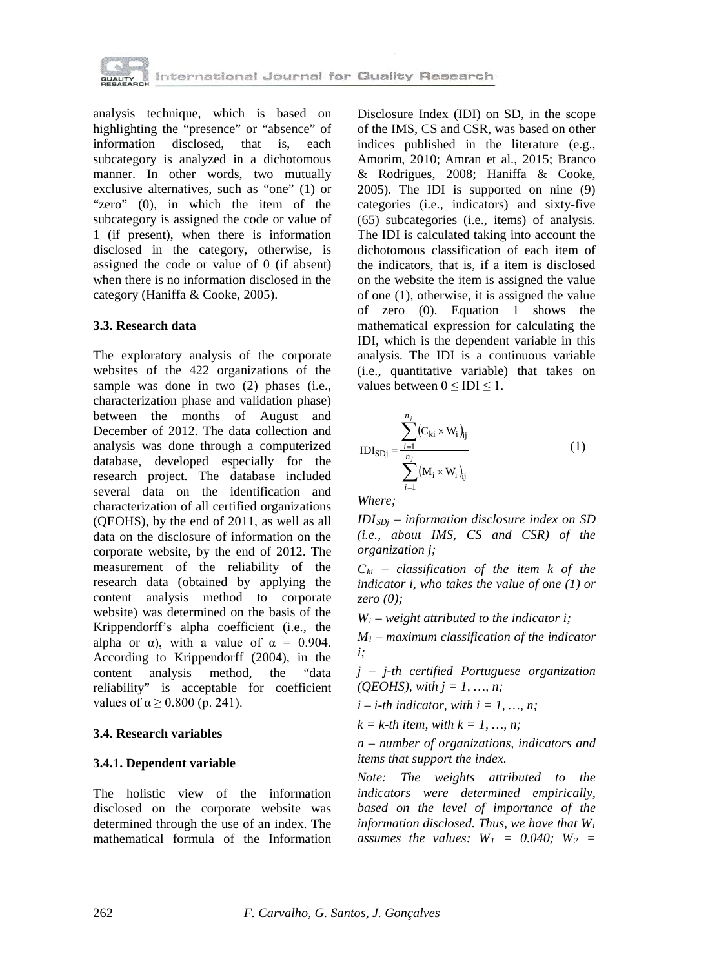

analysis technique, which is based on highlighting the "presence" or "absence" of<br>information disclosed, that is, each disclosed, that is, each subcategory is analyzed in a dichotomous manner. In other words, two mutually exclusive alternatives, such as "one" (1) or "zero" (0), in which the item of the subcategory is assigned the code or value of 1 (if present), when there is information disclosed in the category, otherwise, is assigned the code or value of 0 (if absent) when there is no information disclosed in the category (Haniffa & Cooke, 2005).

#### **3.3. Research data**

The exploratory analysis of the corporate websites of the 422 organizations of the sample was done in two (2) phases (i.e., characterization phase and validation phase) between the months of August and December of 2012. The data collection and analysis was done through a computerized database, developed especially for the research project. The database included several data on the identification and characterization of all certified organizations (QEOHS), by the end of 2011, as well as all data on the disclosure of information on the corporate website, by the end of 2012. The measurement of the reliability of the research data (obtained by applying the content analysis method to corporate website) was determined on the basis of the Krippendorff's alpha coefficient (i.e., the alpha or  $\alpha$ ), with a value of  $\alpha = 0.904$ . According to Krippendorff (2004), in the content analysis method, the "data reliability" is acceptable for coefficient values of  $\alpha \ge 0.800$  (p. 241).

#### **3.4. Research variables**

#### **3.4.1. Dependent variable**

The holistic view of the information disclosed on the corporate website was determined through the use of an index. The mathematical formula of the Information Disclosure Index (IDI) on SD, in the scope of the IMS, CS and CSR, was based on other indices published in the literature (e.g., Amorim, 2010; Amran et al., 2015; Branco & Rodrigues, 2008; Haniffa & Cooke, 2005). The IDI is supported on nine (9) categories (i.e., indicators) and sixty-five (65) subcategories (i.e., items) of analysis. The IDI is calculated taking into account the dichotomous classification of each item of the indicators, that is, if a item is disclosed on the website the item is assigned the value of one (1), otherwise, it is assigned the value of zero (0). Equation 1 shows the mathematical expression for calculating the IDI, which is the dependent variable in this analysis. The IDI is a continuous variable (i.e., quantitative variable) that takes on values between  $0 \leq IDI \leq 1$ .

$$
IDI_{SDj} = \frac{\sum_{i=1}^{n_j} (C_{ki} \times W_i)_{ij}}{\sum_{i=1}^{n_j} (M_i \times W_i)_{ij}}
$$
(1)

*Where;*

*IDISDj – information disclosure index on SD (i.e., about IMS, CS and CSR) of the organization j;*

 $C_{ki}$  – *classification of the item k of the indicator i, who takes the value of one (1) or zero (0);*

 $W_i$  – *weight attributed to the indicator i;* 

*Mi – maximum classification of the indicator i;*

*j – j-th certified Portuguese organization (QEOHS), with j = 1, …, n;*

 $i - i$ -th indicator, with  $i = 1, ..., n$ ;

 $k = k$ -th item, with  $k = 1, ..., n$ ;

*n – number of organizations, indicators and items that support the index.*

*Note: The weights attributed to the indicators were determined empirically, based on the level of importance of the information disclosed. Thus, we have that Wi assumes the values:*  $W_1 = 0.040$ ;  $W_2 = 0.040$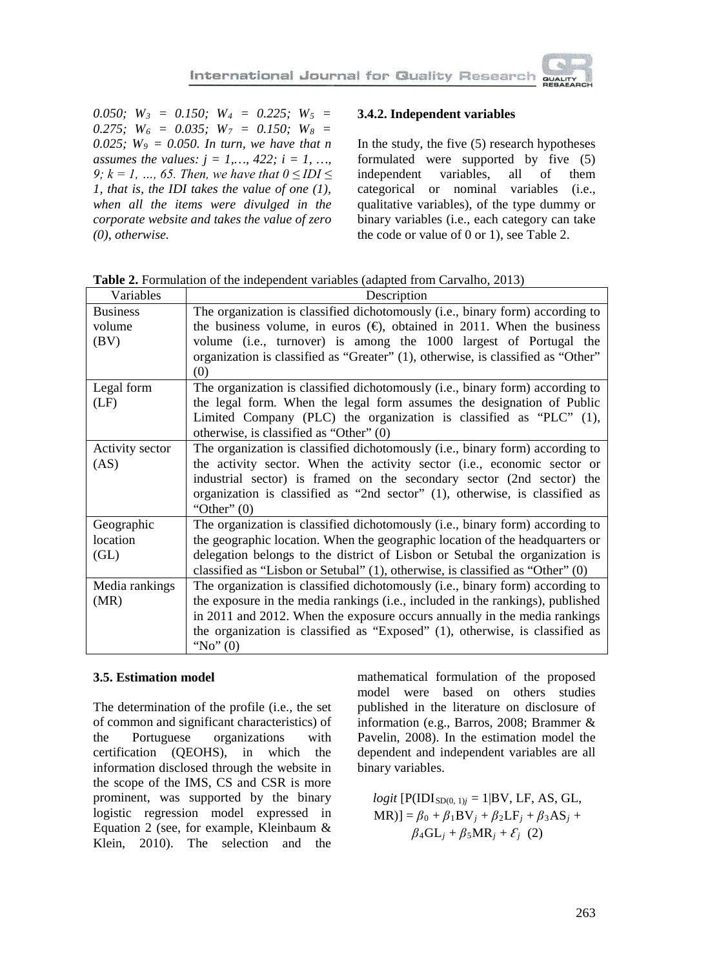*0.050; W3 = 0.150; W4 = 0.225; W5 =*  0.275;  $W_6 = 0.035$ ;  $W_7 = 0.150$ ;  $W_8 =$ *0.025; W9 = 0.050. In turn, we have that n assumes the values:*  $j = 1, ..., 422$ ;  $i = 1, ...,$ *9; k = 1, ..., 65. Then, we have that*  $0 \leq IDI \leq$ *1, that is, the IDI takes the value of one (1), when all the items were divulged in the corporate website and takes the value of zero (0), otherwise.*

#### **3.4.2. Independent variables**

In the study, the five (5) research hypotheses formulated were supported by five (5) independent variables, all of them categorical or nominal variables (i.e., qualitative variables), of the type dummy or binary variables (i.e., each category can take the code or value of 0 or 1), see Table 2.

| Variables       | Description                                                                         |
|-----------------|-------------------------------------------------------------------------------------|
| <b>Business</b> | The organization is classified dichotomously (i.e., binary form) according to       |
| volume          | the business volume, in euros $(\theta)$ , obtained in 2011. When the business      |
| (BV)            | volume (i.e., turnover) is among the 1000 largest of Portugal the                   |
|                 | organization is classified as "Greater" (1), otherwise, is classified as "Other"    |
|                 | (0)                                                                                 |
| Legal form      | The organization is classified dichotomously (i.e., binary form) according to       |
| (LF)            | the legal form. When the legal form assumes the designation of Public               |
|                 | Limited Company (PLC) the organization is classified as "PLC" (1),                  |
|                 | otherwise, is classified as "Other" $(0)$                                           |
| Activity sector | The organization is classified dichotomously (i.e., binary form) according to       |
| (AS)            | the activity sector. When the activity sector (i.e., economic sector or             |
|                 | industrial sector) is framed on the secondary sector (2nd sector) the               |
|                 | organization is classified as "2nd sector" (1), otherwise, is classified as         |
|                 | "Other" $(0)$                                                                       |
| Geographic      | The organization is classified dichotomously (i.e., binary form) according to       |
| location        | the geographic location. When the geographic location of the headquarters or        |
| (GL)            | delegation belongs to the district of Lisbon or Setubal the organization is         |
|                 | classified as "Lisbon or Setubal" $(1)$ , otherwise, is classified as "Other" $(0)$ |
| Media rankings  | The organization is classified dichotomously (i.e., binary form) according to       |
| (MR)            | the exposure in the media rankings (i.e., included in the rankings), published      |
|                 | in 2011 and 2012. When the exposure occurs annually in the media rankings           |
|                 | the organization is classified as "Exposed" (1), otherwise, is classified as        |
|                 | "No" $(0)$                                                                          |

**Table 2.** Formulation of the independent variables (adapted from Carvalho, 2013)

#### **3.5. Estimation model**

The determination of the profile (i.e., the set of common and significant characteristics) of the Portuguese organizations with certification (QEOHS), in which the information disclosed through the website in the scope of the IMS, CS and CSR is more prominent, was supported by the binary logistic regression model expressed in Equation 2 (see, for example, Kleinbaum & Klein, 2010). The selection and the

mathematical formulation of the proposed model were based on others studies published in the literature on disclosure of information (e.g., Barros, 2008; Brammer & Pavelin, 2008). In the estimation model the dependent and independent variables are all binary variables.

 $logit$  [P(IDI<sub>SD(0, 1)*j*</sub> = 1|BV, LF, AS, GL,  $MR$ )] =  $\beta_0 + \beta_1 BV_j + \beta_2 LF_j + \beta_3 AS_j +$  $\beta_4\text{GL}_i + \beta_5\text{MR}_i + \mathcal{E}_i$  (2)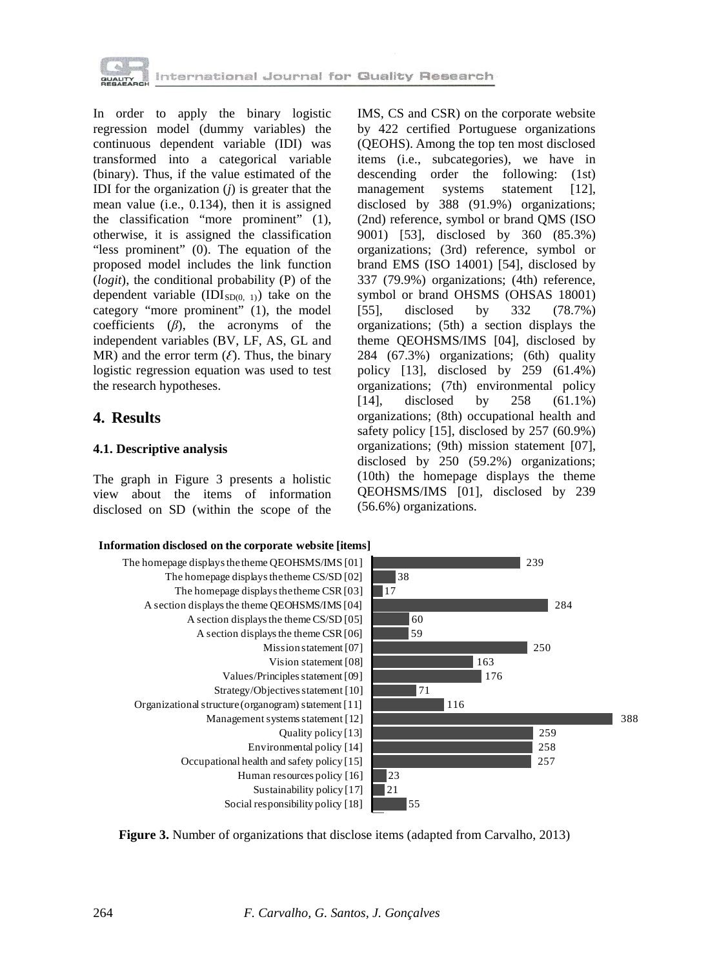

In order to apply the binary logistic regression model (dummy variables) the continuous dependent variable (IDI) was transformed into a categorical variable (binary). Thus, if the value estimated of the IDI for the organization (*j*) is greater that the mean value (i.e., 0.134), then it is assigned the classification "more prominent" (1), otherwise, it is assigned the classification "less prominent" (0). The equation of the proposed model includes the link function (*logit*), the conditional probability (P) of the dependent variable  $(IDI<sub>SD(0, 1)</sub>)$  take on the category "more prominent" (1), the model coefficients (*β*), the acronyms of the independent variables (BV, LF, AS, GL and MR) and the error term  $(\mathcal{E})$ . Thus, the binary logistic regression equation was used to test the research hypotheses.

### **4. Results**

#### **4.1. Descriptive analysis**

The graph in Figure 3 presents a holistic view about the items of information disclosed on SD (within the scope of the IMS, CS and CSR) on the corporate website by 422 certified Portuguese organizations (QEOHS). Among the top ten most disclosed items (i.e., subcategories), we have in descending order the following: (1st) management systems statement [12], disclosed by 388 (91.9%) organizations; (2nd) reference, symbol or brand QMS (ISO 9001) [53], disclosed by 360 (85.3%) organizations; (3rd) reference, symbol or brand EMS (ISO 14001) [54], disclosed by 337 (79.9%) organizations; (4th) reference, symbol or brand OHSMS (OHSAS 18001) [55], disclosed by 332 (78.7%) organizations; (5th) a section displays the theme QEOHSMS/IMS [04], disclosed by 284 (67.3%) organizations; (6th) quality policy [13], disclosed by 259 (61.4%) organizations; (7th) environmental policy [14], disclosed by 258 (61.1%) organizations; (8th) occupational health and safety policy [15], disclosed by 257 (60.9%) organizations; (9th) mission statement [07], disclosed by 250 (59.2%) organizations; (10th) the homepage displays the theme QEOHSMS/IMS [01], disclosed by 239 (56.6%) organizations.



**Figure 3.** Number of organizations that disclose items (adapted from Carvalho, 2013)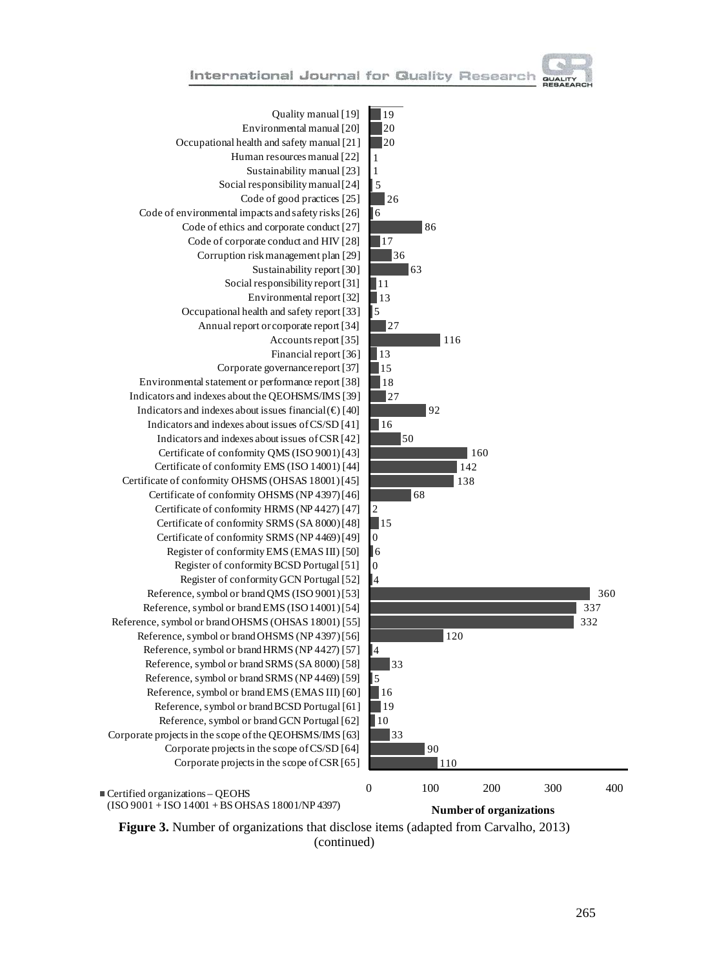



360 337 332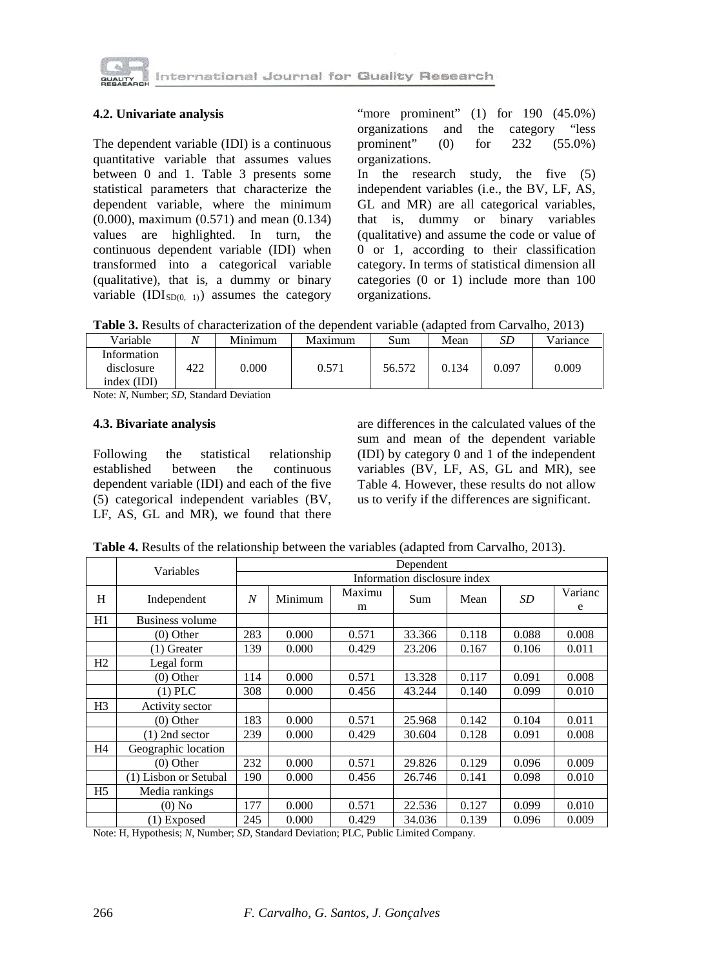

#### **4.2. Univariate analysis**

The dependent variable (IDI) is a continuous quantitative variable that assumes values between 0 and 1. Table 3 presents some statistical parameters that characterize the dependent variable, where the minimum (0.000), maximum (0.571) and mean (0.134) values are highlighted. In turn, the continuous dependent variable (IDI) when transformed into a categorical variable (qualitative), that is, a dummy or binary variable  $(IDI<sub>SD(0, 1)</sub>)$  assumes the category

"more prominent" (1) for 190 (45.0%) organizations and the category "less<br>prominent" (0) for 232 (55.0%) prominent" (0) for 232 (55.0%) organizations.

In the research study, the five (5) independent variables (i.e., the BV, LF, AS, GL and MR) are all categorical variables, that is, dummy or binary variables (qualitative) and assume the code or value of 0 or 1, according to their classification category. In terms of statistical dimension all categories (0 or 1) include more than 100 organizations.

**Table 3.** Results of characterization of the dependent variable (adapted from Carvalho, 2013)

| Information<br>0.000<br>422<br>0.571<br>56.572<br>0.097<br>disclosure<br>0.009<br>0.134 | Variable    | $\mathbf{A}$ | Minimum | Maximum | Sum | Mean | SD | Variance |
|-----------------------------------------------------------------------------------------|-------------|--------------|---------|---------|-----|------|----|----------|
|                                                                                         | index (IDI) |              |         |         |     |      |    |          |

Note: *N*, Number; *SD*, Standard Deviation

#### **4.3. Bivariate analysis**

Following the statistical relationship established between the continuous dependent variable (IDI) and each of the five (5) categorical independent variables (BV, LF, AS, GL and MR), we found that there are differences in the calculated values of the sum and mean of the dependent variable (IDI) by category 0 and 1 of the independent variables (BV, LF, AS, GL and MR), see Table 4. However, these results do not allow us to verify if the differences are significant.

**Table 4.** Results of the relationship between the variables (adapted from Carvalho, 2013).

|                | Variables              |                              | Dependent |             |        |       |       |              |  |
|----------------|------------------------|------------------------------|-----------|-------------|--------|-------|-------|--------------|--|
|                |                        | Information disclosure index |           |             |        |       |       |              |  |
| H              | Independent            | N                            | Minimum   | Maximu<br>m | Sum    | Mean  | SD    | Varianc<br>e |  |
| H1             | <b>Business volume</b> |                              |           |             |        |       |       |              |  |
|                | $(0)$ Other            | 283                          | 0.000     | 0.571       | 33.366 | 0.118 | 0.088 | 0.008        |  |
|                | $(1)$ Greater          | 139                          | 0.000     | 0.429       | 23.206 | 0.167 | 0.106 | 0.011        |  |
| H <sub>2</sub> | Legal form             |                              |           |             |        |       |       |              |  |
|                | $(0)$ Other            | 114                          | 0.000     | 0.571       | 13.328 | 0.117 | 0.091 | 0.008        |  |
|                | $(1)$ PLC              | 308                          | 0.000     | 0.456       | 43.244 | 0.140 | 0.099 | 0.010        |  |
| H <sub>3</sub> | Activity sector        |                              |           |             |        |       |       |              |  |
|                | $(0)$ Other            | 183                          | 0.000     | 0.571       | 25.968 | 0.142 | 0.104 | 0.011        |  |
|                | $(1)$ 2nd sector       | 239                          | 0.000     | 0.429       | 30.604 | 0.128 | 0.091 | 0.008        |  |
| H4             | Geographic location    |                              |           |             |        |       |       |              |  |
|                | $(0)$ Other            | 232                          | 0.000     | 0.571       | 29.826 | 0.129 | 0.096 | 0.009        |  |
|                | (1) Lisbon or Setubal  | 190                          | 0.000     | 0.456       | 26.746 | 0.141 | 0.098 | 0.010        |  |
| H5             | Media rankings         |                              |           |             |        |       |       |              |  |
|                | $(0)$ No               | 177                          | 0.000     | 0.571       | 22.536 | 0.127 | 0.099 | 0.010        |  |
|                | $(1)$ Exposed          | 245                          | 0.000     | 0.429       | 34.036 | 0.139 | 0.096 | 0.009        |  |

Note: H, Hypothesis; *N*, Number; *SD*, Standard Deviation; PLC, Public Limited Company.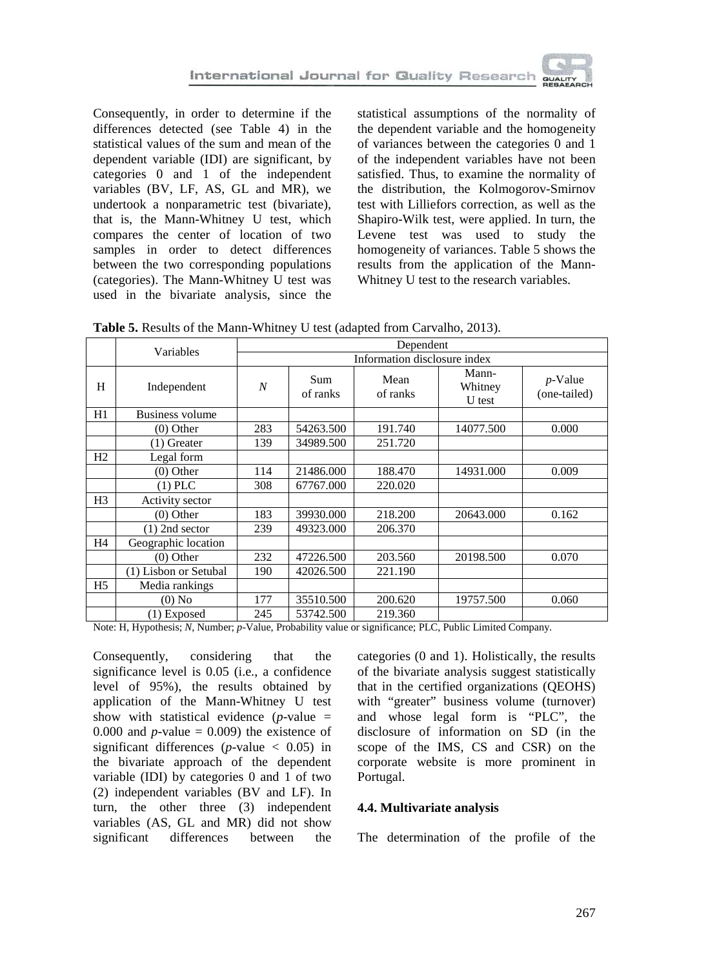Consequently, in order to determine if the differences detected (see Table 4) in the statistical values of the sum and mean of the dependent variable (IDI) are significant, by categories 0 and 1 of the independent variables (BV, LF, AS, GL and MR), we undertook a nonparametric test (bivariate), that is, the Mann-Whitney U test, which compares the center of location of two samples in order to detect differences between the two corresponding populations (categories). The Mann-Whitney U test was used in the bivariate analysis, since the statistical assumptions of the normality of the dependent variable and the homogeneity of variances between the categories 0 and 1 of the independent variables have not been satisfied. Thus, to examine the normality of the distribution, the Kolmogorov-Smirnov test with Lilliefors correction, as well as the Shapiro-Wilk test, were applied. In turn, the Levene test was used to study the homogeneity of variances. Table 5 shows the results from the application of the Mann-Whitney U test to the research variables.

**Table 5.** Results of the Mann-Whitney U test (adapted from Carvalho, 2013).

|                | Variables              | Dependent        |                 |                  |                            |                            |  |
|----------------|------------------------|------------------|-----------------|------------------|----------------------------|----------------------------|--|
|                |                        |                  |                 |                  |                            |                            |  |
| H              | Independent            | $\boldsymbol{N}$ | Sum<br>of ranks | Mean<br>of ranks | Mann-<br>Whitney<br>U test | $p$ -Value<br>(one-tailed) |  |
| H1             | <b>Business volume</b> |                  |                 |                  |                            |                            |  |
|                | $(0)$ Other            | 283              | 54263.500       | 191.740          | 14077.500                  | 0.000                      |  |
|                | $(1)$ Greater          | 139              | 34989.500       | 251.720          |                            |                            |  |
| H2             | Legal form             |                  |                 |                  |                            |                            |  |
|                | $(0)$ Other            | 114              | 21486.000       | 188.470          | 14931.000                  | 0.009                      |  |
|                | $(1)$ PLC              | 308              | 67767.000       | 220.020          |                            |                            |  |
| H <sub>3</sub> | Activity sector        |                  |                 |                  |                            |                            |  |
|                | $(0)$ Other            | 183              | 39930.000       | 218.200          | 20643.000                  | 0.162                      |  |
|                | $(1)$ 2nd sector       | 239              | 49323.000       | 206.370          |                            |                            |  |
| H4             | Geographic location    |                  |                 |                  |                            |                            |  |
|                | $(0)$ Other            | 232              | 47226.500       | 203.560          | 20198.500                  | 0.070                      |  |
|                | (1) Lisbon or Setubal  | 190              | 42026.500       | 221.190          |                            |                            |  |
| H <sub>5</sub> | Media rankings         |                  |                 |                  |                            |                            |  |
|                | $(0)$ No               | 177              | 35510.500       | 200.620          | 19757.500                  | 0.060                      |  |
|                | $(1)$ Exposed          | 245              | 53742.500       | 219.360          |                            |                            |  |

Note: H, Hypothesis; *N*, Number; *p*-Value, Probability value or significance; PLC, Public Limited Company.

Consequently, considering that the significance level is 0.05 (i.e., a confidence level of 95%), the results obtained by application of the Mann-Whitney U test show with statistical evidence  $(p$ -value = 0.000 and  $p$ -value = 0.009) the existence of significant differences ( $p$ -value  $\lt$  0.05) in the bivariate approach of the dependent variable (IDI) by categories 0 and 1 of two (2) independent variables (BV and LF). In turn, the other three (3) independent variables (AS, GL and MR) did not show significant differences between the categories (0 and 1). Holistically, the results of the bivariate analysis suggest statistically that in the certified organizations (QEOHS) with "greater" business volume (turnover) and whose legal form is "PLC", the disclosure of information on SD (in the scope of the IMS, CS and CSR) on the corporate website is more prominent in Portugal.

#### **4.4. Multivariate analysis**

The determination of the profile of the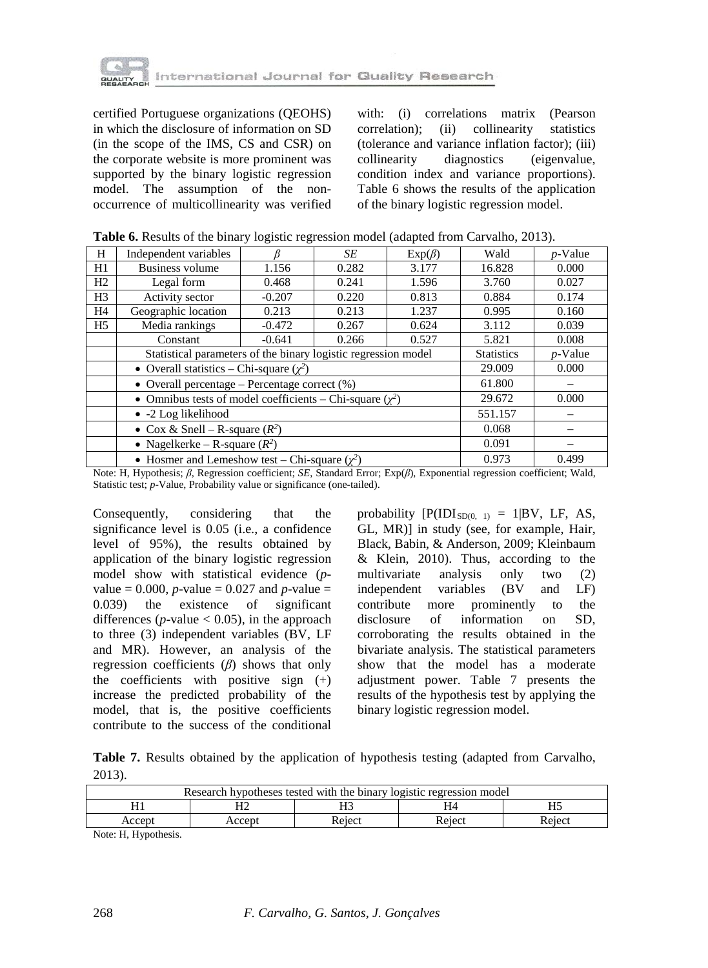

certified Portuguese organizations (QEOHS) in which the disclosure of information on SD (in the scope of the IMS, CS and CSR) on the corporate website is more prominent was supported by the binary logistic regression model. The assumption of the nonoccurrence of multicollinearity was verified with: (i) correlations matrix (Pearson correlation); (ii) collinearity statistics (tolerance and variance inflation factor); (iii) collinearity diagnostics (eigenvalue, condition index and variance proportions). Table 6 shows the results of the application of the binary logistic regression model.

|  |  | <b>Table 6.</b> Results of the binary logistic regression model (adapted from Carvalho, 2013). |
|--|--|------------------------------------------------------------------------------------------------|
|--|--|------------------------------------------------------------------------------------------------|

| H              | Independent variables                                           |                            | SE         | $Exp(\beta)$ | Wald  | $p$ -Value |  |
|----------------|-----------------------------------------------------------------|----------------------------|------------|--------------|-------|------------|--|
| H1             | <b>Business volume</b>                                          | 1.156                      | 16.828     | 0.000        |       |            |  |
| H <sub>2</sub> | Legal form                                                      | 0.468<br>0.241<br>1.596    |            |              |       |            |  |
| H3             | Activity sector                                                 | $-0.207$<br>0.220<br>0.813 |            |              |       |            |  |
| H <sub>4</sub> | Geographic location                                             | 0.213                      | 0.213      | 1.237        | 0.995 | 0.160      |  |
| H5             | Media rankings                                                  | $-0.472$                   | 0.267      | 0.624        | 3.112 | 0.039      |  |
|                | Constant                                                        | 5.821                      | 0.008      |              |       |            |  |
|                | Statistical parameters of the binary logistic regression model  | <b>Statistics</b>          | $p$ -Value |              |       |            |  |
|                | • Overall statistics – Chi-square $(\chi^2)$                    | 29.009                     | 0.000      |              |       |            |  |
|                | • Overall percentage – Percentage correct $(\%)$                | 61.800                     |            |              |       |            |  |
|                | • Omnibus tests of model coefficients – Chi-square $(\gamma^2)$ | 29.672                     | 0.000      |              |       |            |  |
|                | $\bullet$ -2 Log likelihood                                     | 551.157                    |            |              |       |            |  |
|                | • Cox & Snell – R-square $(R^2)$                                | 0.068                      |            |              |       |            |  |
|                | • Nagelkerke – R-square $(R^2)$                                 | 0.091                      |            |              |       |            |  |
|                | • Hosmer and Lemeshow test – Chi-square $(\chi^2)$              | 0.973                      | 0.499      |              |       |            |  |

Note: H, Hypothesis; *β*, Regression coefficient; *SE*, Standard Error; Exp(*β*), Exponential regression coefficient; Wald, Statistic test; *p*-Value, Probability value or significance (one-tailed).

Consequently, considering that the significance level is 0.05 (i.e., a confidence level of 95%), the results obtained by application of the binary logistic regression model show with statistical evidence (*p*value =  $0.000$ , *p*-value =  $0.027$  and *p*-value = 0.039) the existence of significant differences ( $p$ -value  $< 0.05$ ), in the approach to three (3) independent variables (BV, LF and MR). However, an analysis of the regression coefficients (*β*) shows that only the coefficients with positive sign  $(+)$ increase the predicted probability of the model, that is, the positive coefficients contribute to the success of the conditional

probability  $[P(IDI<sub>SD(0, 1)</sub>] = 1|BV, LF, AS,$ GL, MR)] in study (see, for example, Hair, Black, Babin, & Anderson, 2009; Kleinbaum & Klein, 2010). Thus, according to the multivariate analysis only two (2) independent variables (BV and LF)<br>contribute more prominently to the more prominently to the disclosure of information on SD, corroborating the results obtained in the bivariate analysis. The statistical parameters show that the model has a moderate adjustment power. Table 7 presents the results of the hypothesis test by applying the binary logistic regression model.

**Table 7.** Results obtained by the application of hypothesis testing (adapted from Carvalho, 2013).

| Research hypotheses tested with the binary logistic regression model |        |        |        |        |  |  |
|----------------------------------------------------------------------|--------|--------|--------|--------|--|--|
|                                                                      | Π.     |        | H4     |        |  |  |
| Accept                                                               | Accept | Reiect | Reiect | Reiect |  |  |

Note: H, Hypothesis.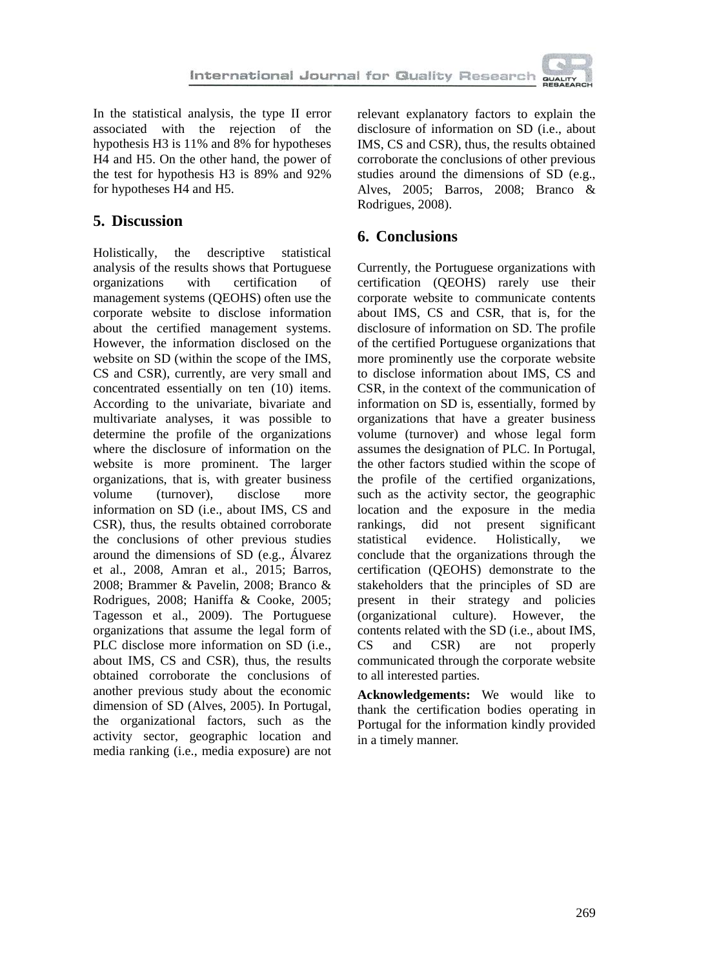In the statistical analysis, the type II error associated with the rejection of the hypothesis H3 is 11% and 8% for hypotheses H4 and H5. On the other hand, the power of the test for hypothesis H3 is 89% and 92% for hypotheses H4 and H5.

# **5. Discussion**

Holistically, the descriptive statistical analysis of the results shows that Portuguese<br>organization with certification of organizations with certification of management systems (QEOHS) often use the corporate website to disclose information about the certified management systems. However, the information disclosed on the website on SD (within the scope of the IMS, CS and CSR), currently, are very small and concentrated essentially on ten (10) items. According to the univariate, bivariate and multivariate analyses, it was possible to determine the profile of the organizations where the disclosure of information on the website is more prominent. The larger organizations, that is, with greater business volume (turnover), disclose more information on SD (i.e., about IMS, CS and CSR), thus, the results obtained corroborate the conclusions of other previous studies around the dimensions of SD (e.g., Álvarez et al., 2008, Amran et al., 2015; Barros, 2008; Brammer & Pavelin, 2008; Branco & Rodrigues, 2008; Haniffa & Cooke, 2005; Tagesson et al., 2009). The Portuguese organizations that assume the legal form of PLC disclose more information on SD (i.e., about IMS, CS and CSR), thus, the results obtained corroborate the conclusions of another previous study about the economic dimension of SD (Alves, 2005). In Portugal, the organizational factors, such as the activity sector, geographic location and media ranking (i.e., media exposure) are not

relevant explanatory factors to explain the disclosure of information on SD (i.e., about IMS, CS and CSR), thus, the results obtained corroborate the conclusions of other previous studies around the dimensions of SD (e.g., Alves, 2005; Barros, 2008; Branco & Rodrigues, 2008).

# **6. Conclusions**

Currently, the Portuguese organizations with certification (QEOHS) rarely use their corporate website to communicate contents about IMS, CS and CSR, that is, for the disclosure of information on SD. The profile of the certified Portuguese organizations that more prominently use the corporate website to disclose information about IMS, CS and CSR, in the context of the communication of information on SD is, essentially, formed by organizations that have a greater business volume (turnover) and whose legal form assumes the designation of PLC. In Portugal, the other factors studied within the scope of the profile of the certified organizations, such as the activity sector, the geographic location and the exposure in the media rankings, did not present significant statistical evidence. Holistically, we conclude that the organizations through the certification (QEOHS) demonstrate to the stakeholders that the principles of SD are present in their strategy and policies (organizational culture). However, the contents related with the SD (i.e., about IMS, CS and CSR) are not properly communicated through the corporate website to all interested parties.

**Acknowledgements:** We would like to thank the certification bodies operating in Portugal for the information kindly provided in a timely manner.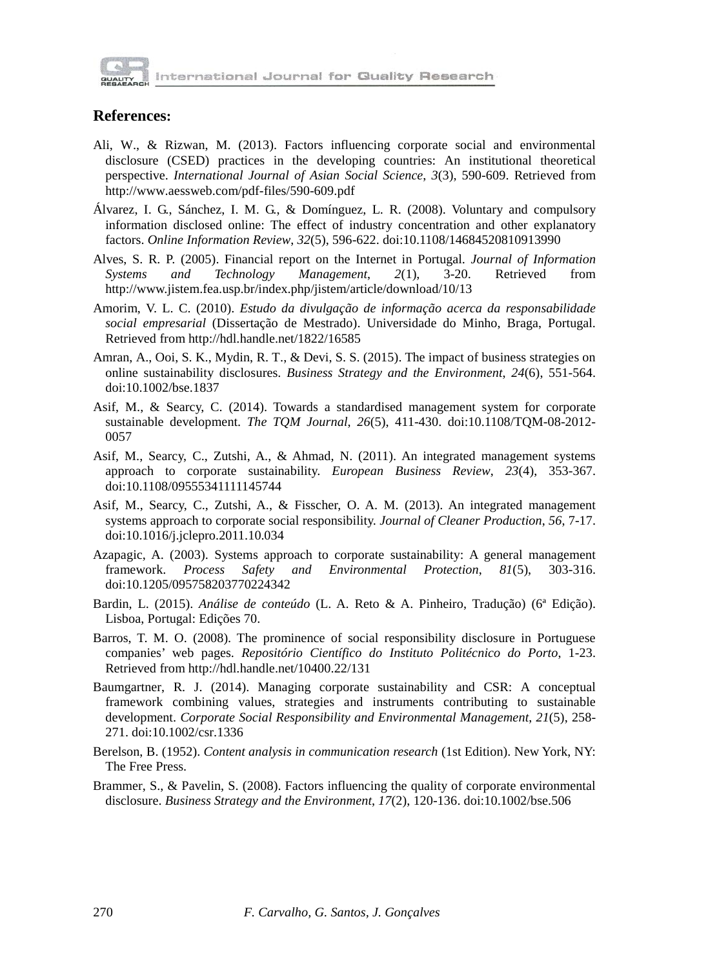

International Journal for Quality Research

### **References:**

- Ali, W., & Rizwan, M. (2013). Factors influencing corporate social and environmental disclosure (CSED) practices in the developing countries: An institutional theoretical perspective. *International Journal of Asian Social Science*, *3*(3), 590-609. Retrieved from http://www.aessweb.com/pdf-files/590-609.pdf
- Álvarez, I. G., Sánchez, I. M. G., & Domínguez, L. R. (2008). Voluntary and compulsory information disclosed online: The effect of industry concentration and other explanatory factors. *Online Information Review*, *32*(5), 596-622. doi:10.1108/14684520810913990
- Alves, S. R. P. (2005). Financial report on the Internet in Portugal. *Journal of Information Systems and Technology Management*, *2*(1), 3-20. Retrieved from http://www.jistem.fea.usp.br/index.php/jistem/article/download/10/13
- Amorim, V. L. C. (2010). *Estudo da divulgação de informação acerca da responsabilidade social empresarial* (Dissertação de Mestrado). Universidade do Minho, Braga, Portugal. Retrieved from http://hdl.handle.net/1822/16585
- Amran, A., Ooi, S. K., Mydin, R. T., & Devi, S. S. (2015). The impact of business strategies on online sustainability disclosures. *Business Strategy and the Environment*, *24*(6), 551-564. doi:10.1002/bse.1837
- Asif, M., & Searcy, C. (2014). Towards a standardised management system for corporate sustainable development. *The TQM Journal*, *26*(5), 411-430. doi:10.1108/TQM-08-2012- 0057
- Asif, M., Searcy, C., Zutshi, A., & Ahmad, N. (2011). An integrated management systems approach to corporate sustainability. *European Business Review*, *23*(4), 353-367. doi:10.1108/09555341111145744
- Asif, M., Searcy, C., Zutshi, A., & Fisscher, O. A. M. (2013). An integrated management systems approach to corporate social responsibility. *Journal of Cleaner Production*, *56*, 7-17. doi:10.1016/j.jclepro.2011.10.034
- Azapagic, A. (2003). Systems approach to corporate sustainability: A general management framework. *Process Safety and Environmental Protection*, *81*(5), 303-316. doi:10.1205/095758203770224342
- Bardin, L. (2015). *Análise de conteúdo* (L. A. Reto & A. Pinheiro, Tradução) (6ª Edição). Lisboa, Portugal: Edições 70.
- Barros, T. M. O. (2008). The prominence of social responsibility disclosure in Portuguese companies' web pages. *Repositório Científico do Instituto Politécnico do Porto*, 1-23. Retrieved from http://hdl.handle.net/10400.22/131
- Baumgartner, R. J. (2014). Managing corporate sustainability and CSR: A conceptual framework combining values, strategies and instruments contributing to sustainable development. *Corporate Social Responsibility and Environmental Management*, *21*(5), 258- 271. doi:10.1002/csr.1336
- Berelson, B. (1952). *Content analysis in communication research* (1st Edition). New York, NY: The Free Press.
- Brammer, S., & Pavelin, S. (2008). Factors influencing the quality of corporate environmental disclosure. *Business Strategy and the Environment*, *17*(2), 120-136. doi:10.1002/bse.506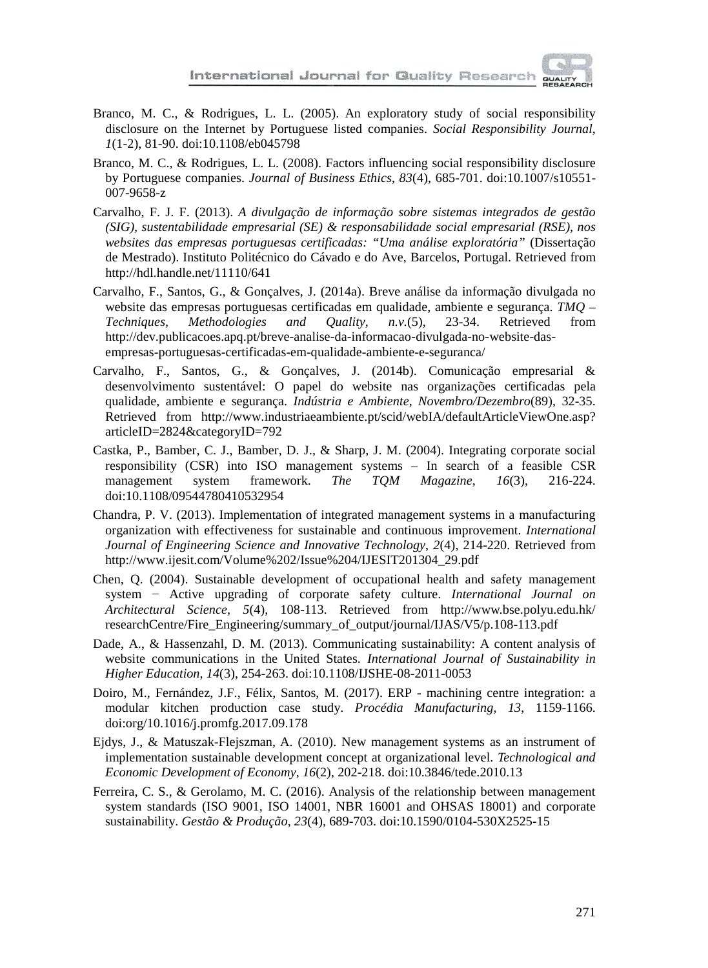

- Branco, M. C., & Rodrigues, L. L. (2005). An exploratory study of social responsibility disclosure on the Internet by Portuguese listed companies. *Social Responsibility Journal*, *1*(1-2), 81-90. doi:10.1108/eb045798
- Branco, M. C., & Rodrigues, L. L. (2008). Factors influencing social responsibility disclosure by Portuguese companies. *Journal of Business Ethics*, *83*(4), 685-701. doi:10.1007/s10551- 007-9658-z
- Carvalho, F. J. F. (2013). *A divulgação de informação sobre sistemas integrados de gestão (SIG), sustentabilidade empresarial (SE) & responsabilidade social empresarial (RSE), nos websites das empresas portuguesas certificadas: "Uma análise exploratória"* (Dissertação de Mestrado). Instituto Politécnico do Cávado e do Ave, Barcelos, Portugal. Retrieved from http://hdl.handle.net/11110/641
- Carvalho, F., Santos, G., & Gonçalves, J. (2014a). Breve análise da informação divulgada no website das empresas portuguesas certificadas em qualidade, ambiente e segurança. *TMQ – Techniques, Methodologies and Quality, n.v.*(5), 23-34. Retrieved from http://dev.publicacoes.apq.pt/breve-analise-da-informacao-divulgada-no-website-dasempresas-portuguesas-certificadas-em-qualidade-ambiente-e-seguranca/
- Carvalho, F., Santos, G., & Gonçalves, J. (2014b). Comunicação empresarial & desenvolvimento sustentável: O papel do website nas organizações certificadas pela qualidade, ambiente e segurança. *Indústria e Ambiente, Novembro/Dezembro*(89), 32-35. Retrieved from http://www.industriaeambiente.pt/scid/webIA/defaultArticleViewOne.asp? articleID=2824&categoryID=792
- Castka, P., Bamber, C. J., Bamber, D. J., & Sharp, J. M. (2004). Integrating corporate social responsibility (CSR) into ISO management systems – In search of a feasible CSR management system framework. *The TQM Magazine*, *16*(3), 216-224. doi:10.1108/09544780410532954
- Chandra, P. V. (2013). Implementation of integrated management systems in a manufacturing organization with effectiveness for sustainable and continuous improvement. *International Journal of Engineering Science and Innovative Technology*, *2*(4), 214-220. Retrieved from http://www.ijesit.com/Volume%202/Issue%204/IJESIT201304\_29.pdf
- Chen, Q. (2004). Sustainable development of occupational health and safety management system − Active upgrading of corporate safety culture. *International Journal on Architectural Science*, *5*(4), 108-113. Retrieved from http://www.bse.polyu.edu.hk/ researchCentre/Fire\_Engineering/summary\_of\_output/journal/IJAS/V5/p.108-113.pdf
- Dade, A., & Hassenzahl, D. M. (2013). Communicating sustainability: A content analysis of website communications in the United States. *International Journal of Sustainability in Higher Education*, *14*(3), 254-263. doi:10.1108/IJSHE-08-2011-0053
- Doiro, M., Fernández, J.F., Félix, Santos, M. (2017). ERP machining centre integration: a modular kitchen production case study. *Procédia Manufacturing*, *13*, 1159-1166. doi:org/10.1016/j.promfg.2017.09.178
- Ejdys, J., & Matuszak-Flejszman, A. (2010). New management systems as an instrument of implementation sustainable development concept at organizational level. *Technological and Economic Development of Economy*, *16*(2), 202-218. doi:10.3846/tede.2010.13
- Ferreira, C. S., & Gerolamo, M. C. (2016). Analysis of the relationship between management system standards (ISO 9001, ISO 14001, NBR 16001 and OHSAS 18001) and corporate sustainability. *Gestão & Produção*, *23*(4), 689-703. doi:10.1590/0104-530X2525-15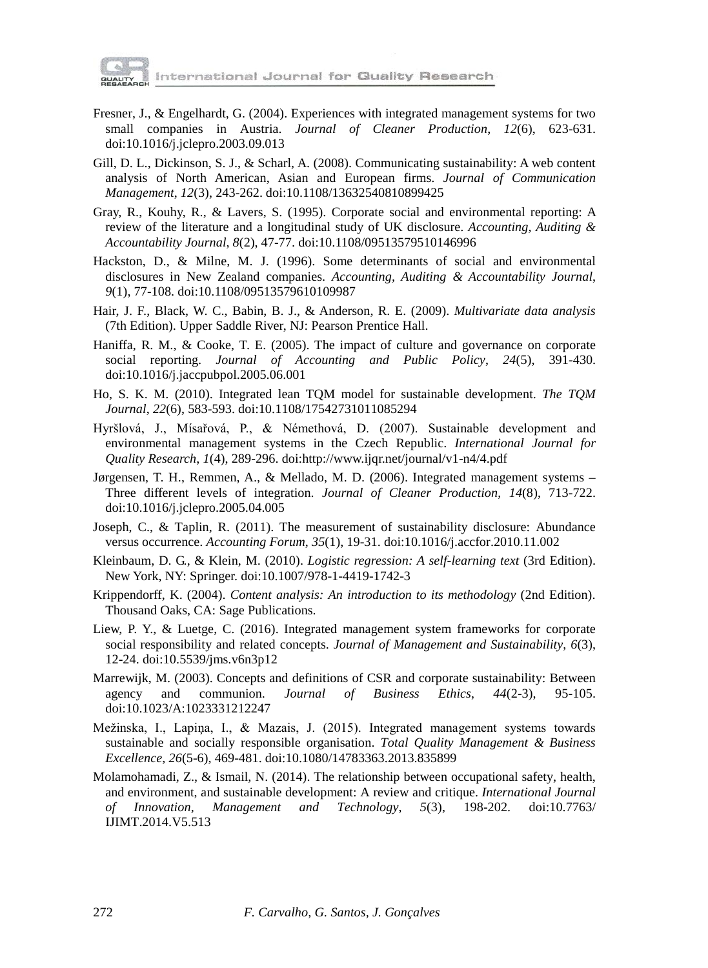

International Journal for Quality Research

- Fresner, J., & Engelhardt, G. (2004). Experiences with integrated management systems for two small companies in Austria. *Journal of Cleaner Production*, *12*(6), 623-631. doi:10.1016/j.jclepro.2003.09.013
- Gill, D. L., Dickinson, S. J., & Scharl, A. (2008). Communicating sustainability: A web content analysis of North American, Asian and European firms. *Journal of Communication Management*, *12*(3), 243-262. doi:10.1108/13632540810899425
- Gray, R., Kouhy, R., & Lavers, S. (1995). Corporate social and environmental reporting: A review of the literature and a longitudinal study of UK disclosure. *Accounting, Auditing & Accountability Journal*, *8*(2), 47-77. doi:10.1108/09513579510146996
- Hackston, D., & Milne, M. J. (1996). Some determinants of social and environmental disclosures in New Zealand companies. *Accounting, Auditing & Accountability Journal*, *9*(1), 77-108. doi:10.1108/09513579610109987
- Hair, J. F., Black, W. C., Babin, B. J., & Anderson, R. E. (2009). *Multivariate data analysis* (7th Edition). Upper Saddle River, NJ: Pearson Prentice Hall.
- Haniffa, R. M., & Cooke, T. E. (2005). The impact of culture and governance on corporate social reporting. *Journal of Accounting and Public Policy*, *24*(5), 391-430. doi:10.1016/j.jaccpubpol.2005.06.001
- Ho, S. K. M. (2010). Integrated lean TQM model for sustainable development. *The TQM Journal*, *22*(6), 583-593. doi:10.1108/17542731011085294
- Hyršlová, J., Mísařová, P., & Némethová, D. (2007). Sustainable development and environmental management systems in the Czech Republic. *International Journal for Quality Research*, *1*(4), 289-296. doi:http://www.ijqr.net/journal/v1-n4/4.pdf
- Jørgensen, T. H., Remmen, A., & Mellado, M. D. (2006). Integrated management systems Three different levels of integration. *Journal of Cleaner Production*, *14*(8), 713-722. doi:10.1016/j.jclepro.2005.04.005
- Joseph, C., & Taplin, R. (2011). The measurement of sustainability disclosure: Abundance versus occurrence. *Accounting Forum*, *35*(1), 19-31. doi:10.1016/j.accfor.2010.11.002
- Kleinbaum, D. G., & Klein, M. (2010). *Logistic regression: A self-learning text* (3rd Edition). New York, NY: Springer. doi:10.1007/978-1-4419-1742-3
- Krippendorff, K. (2004). *Content analysis: An introduction to its methodology* (2nd Edition). Thousand Oaks, CA: Sage Publications.
- Liew, P. Y., & Luetge, C. (2016). Integrated management system frameworks for corporate social responsibility and related concepts. *Journal of Management and Sustainability*, *6*(3), 12-24. doi:10.5539/jms.v6n3p12
- Marrewijk, M. (2003). Concepts and definitions of CSR and corporate sustainability: Between agency and communion. *Journal of Business Ethics*, *44*(2-3), 95-105. doi:10.1023/A:1023331212247
- Mežinska, I., Lapiņa, I., & Mazais, J. (2015). Integrated management systems towards sustainable and socially responsible organisation. *Total Quality Management & Business Excellence*, *26*(5-6), 469-481. doi:10.1080/14783363.2013.835899
- Molamohamadi, Z., & Ismail, N. (2014). The relationship between occupational safety, health, and environment, and sustainable development: A review and critique. *International Journal of Innovation, Management and Technology*, *5*(3), 198-202. doi:10.7763/ IJIMT.2014.V5.513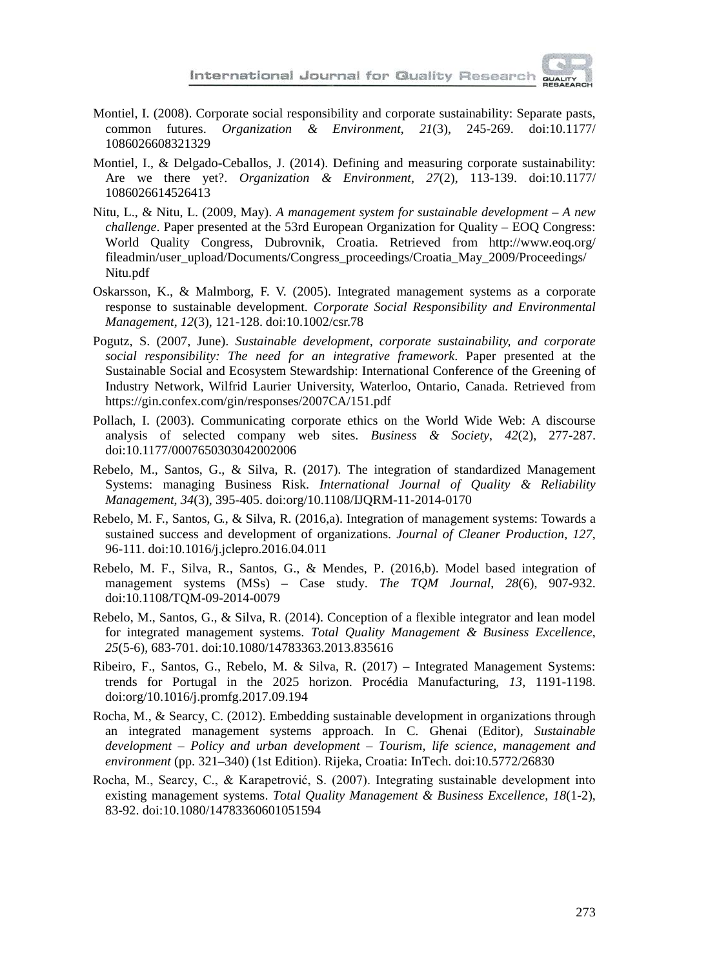

- Montiel, I. (2008). Corporate social responsibility and corporate sustainability: Separate pasts, common futures. *Organization & Environment*, *21*(3), 245-269. doi:10.1177/ 1086026608321329
- Montiel, I., & Delgado-Ceballos, J. (2014). Defining and measuring corporate sustainability: Are we there yet?. *Organization & Environment*, *27*(2), 113-139. doi:10.1177/ 1086026614526413
- Nitu, L., & Nitu, L. (2009, May). *A management system for sustainable development – A new challenge*. Paper presented at the 53rd European Organization for Quality – EOQ Congress: World Quality Congress, Dubrovnik, Croatia. Retrieved from http://www.eoq.org/ fileadmin/user\_upload/Documents/Congress\_proceedings/Croatia\_May\_2009/Proceedings/ Nitu.pdf
- Oskarsson, K., & Malmborg, F. V. (2005). Integrated management systems as a corporate response to sustainable development. *Corporate Social Responsibility and Environmental Management*, *12*(3), 121-128. doi:10.1002/csr.78
- Pogutz, S. (2007, June). *Sustainable development, corporate sustainability, and corporate social responsibility: The need for an integrative framework*. Paper presented at the Sustainable Social and Ecosystem Stewardship: International Conference of the Greening of Industry Network, Wilfrid Laurier University, Waterloo, Ontario, Canada. Retrieved from https://gin.confex.com/gin/responses/2007CA/151.pdf
- Pollach, I. (2003). Communicating corporate ethics on the World Wide Web: A discourse analysis of selected company web sites. *Business & Society*, *42*(2), 277-287. doi:10.1177/0007650303042002006
- Rebelo, M., Santos, G., & Silva, R. (2017). The integration of standardized Management Systems: managing Business Risk. *International Journal of Quality & Reliability Management*, *34*(3), 395-405. doi:org/10.1108/IJQRM-11-2014-0170
- Rebelo, M. F., Santos, G., & Silva, R. (2016,a). Integration of management systems: Towards a sustained success and development of organizations. *Journal of Cleaner Production*, *127*, 96-111. doi:10.1016/j.jclepro.2016.04.011
- Rebelo, M. F., Silva, R., Santos, G., & Mendes, P. (2016,b). Model based integration of management systems (MSs) – Case study. *The TQM Journal*, *28*(6), 907**-**932. doi:10.1108/TQM-09-2014-0079
- Rebelo, M., Santos, G., & Silva, R. (2014). Conception of a flexible integrator and lean model for integrated management systems. *Total Quality Management & Business Excellence*, *25*(5-6), 683**-**701. doi:10.1080/14783363.2013.835616
- Ribeiro, F., Santos, G., Rebelo, M. & Silva, R. (2017) Integrated Management Systems: trends for Portugal in the 2025 horizon. Procédia Manufacturing, *13*, 1191-1198. doi:org/10.1016/j.promfg.2017.09.194
- Rocha, M., & Searcy, C. (2012). Embedding sustainable development in organizations through an integrated management systems approach. In C. Ghenai (Editor), *Sustainable development – Policy and urban development – Tourism, life science, management and environment* (pp. 321–340) (1st Edition). Rijeka, Croatia: InTech. doi:10.5772/26830
- Rocha, M., Searcy, C., & Karapetrović, S. (2007). Integrating sustainable development into existing management systems. *Total Quality Management & Business Excellence*, *18*(1-2), 83-92. doi:10.1080/14783360601051594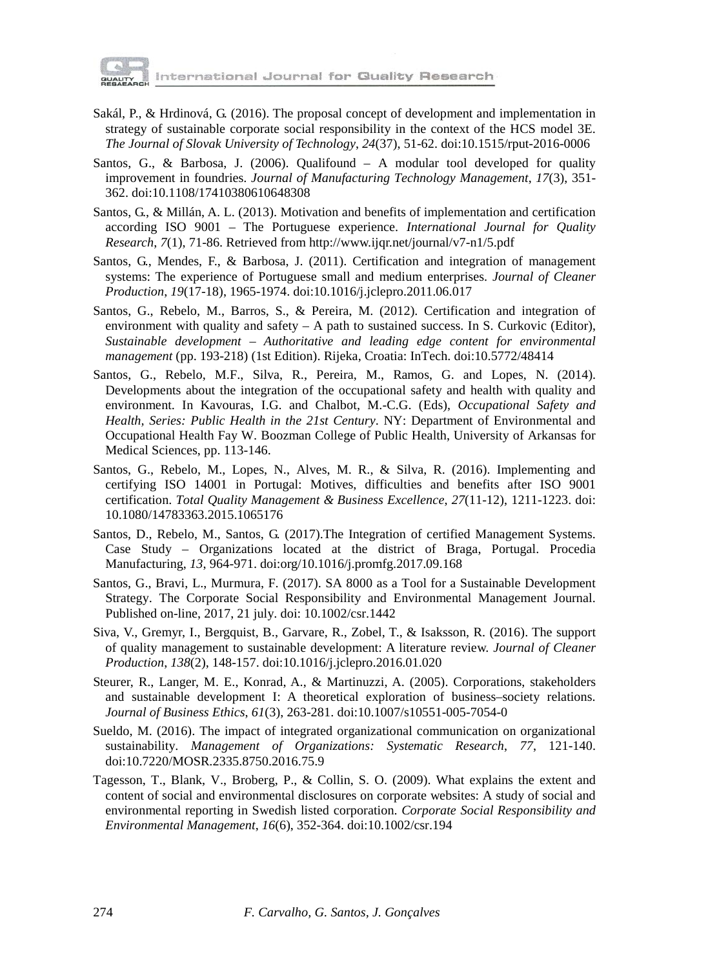

International Journal for Quality Research

- Sakál, P., & Hrdinová, G. (2016). The proposal concept of development and implementation in strategy of sustainable corporate social responsibility in the context of the HCS model 3E. *The Journal of Slovak University of Technology*, *24*(37), 51-62. doi:10.1515/rput-2016-0006
- Santos, G., & Barbosa, J. (2006). Qualifound A modular tool developed for quality improvement in foundries. *Journal of Manufacturing Technology Management*, *17*(3), 351- 362. doi:10.1108/17410380610648308
- Santos, G., & Millán, A. L. (2013). Motivation and benefits of implementation and certification according ISO 9001 – The Portuguese experience. *International Journal for Quality Research*, *7*(1), 71-86. Retrieved from http://www.ijqr.net/journal/v7-n1/5.pdf
- Santos, G., Mendes, F., & Barbosa, J. (2011). Certification and integration of management systems: The experience of Portuguese small and medium enterprises. *Journal of Cleaner Production*, *19*(17-18), 1965-1974. doi:10.1016/j.jclepro.2011.06.017
- Santos, G., Rebelo, M., Barros, S., & Pereira, M. (2012). Certification and integration of environment with quality and safety  $- A$  path to sustained success. In S. Curkovic (Editor), *Sustainable development – Authoritative and leading edge content for environmental management* (pp. 193-218) (1st Edition). Rijeka, Croatia: InTech. doi:10.5772/48414
- Santos, G., Rebelo, M.F., Silva, R., Pereira, M., Ramos, G. and Lopes, N. (2014). Developments about the integration of the occupational safety and health with quality and environment. In Kavouras, I.G. and Chalbot, M.-C.G. (Eds), *Occupational Safety and Health, Series: Public Health in the 21st Century*. NY: Department of Environmental and Occupational Health Fay W. Boozman College of Public Health, University of Arkansas for Medical Sciences, pp. 113-146.
- Santos, G., Rebelo, M., Lopes, N., Alves, M. R., & Silva, R. (2016). Implementing and certifying ISO 14001 in Portugal: Motives, difficulties and benefits after ISO 9001 certification. *Total Quality Management & Business Excellence*, *27*(11-12), 1211-1223. doi: 10.1080/14783363.2015.1065176
- Santos, D., Rebelo, M., Santos, G. (2017).The Integration of certified Management Systems. Case Study – Organizations located at the district of Braga, Portugal. Procedia Manufacturing, *13*, 964-971. [doi:org/10.1016/j.promfg.2017.09.168](https://doi.org/10.1016/j.promfg.2017.09.168)
- Santos, G., Bravi, L., Murmura, F. (2017). SA 8000 as a Tool for a Sustainable Development Strategy. The Corporate Social Responsibility and Environmental Management Journal. Published on-line, 2017, 21 july. doi: 10.1002/csr.1442
- Siva, V., Gremyr, I., Bergquist, B., Garvare, R., Zobel, T., & Isaksson, R. (2016). The support of quality management to sustainable development: A literature review. *Journal of Cleaner Production*, *138*(2), 148-157. doi:10.1016/j.jclepro.2016.01.020
- Steurer, R., Langer, M. E., Konrad, A., & Martinuzzi, A. (2005). Corporations, stakeholders and sustainable development I: A theoretical exploration of business–society relations. *Journal of Business Ethics*, *61*(3), 263-281. doi:10.1007/s10551-005-7054-0
- Sueldo, M. (2016). The impact of integrated organizational communication on organizational sustainability. *Management of Organizations: Systematic Research*, *77*, 121-140. doi:10.7220/MOSR.2335.8750.2016.75.9
- Tagesson, T., Blank, V., Broberg, P., & Collin, S. O. (2009). What explains the extent and content of social and environmental disclosures on corporate websites: A study of social and environmental reporting in Swedish listed corporation. *Corporate Social Responsibility and Environmental Management*, *16*(6), 352-364. doi:10.1002/csr.194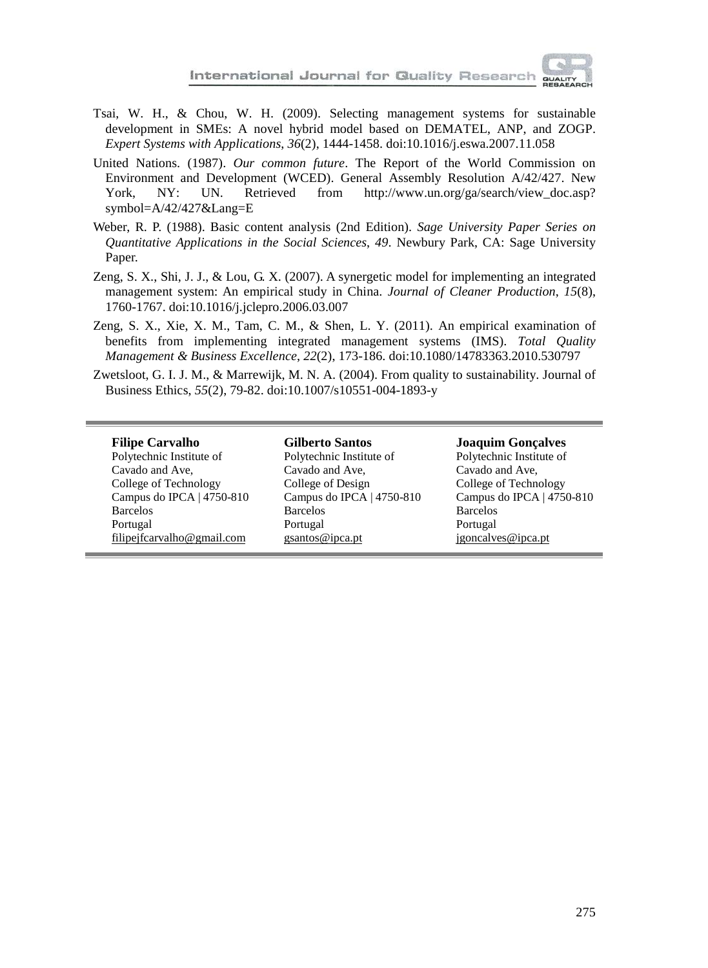- Tsai, W. H., & Chou, W. H. (2009). Selecting management systems for sustainable development in SMEs: A novel hybrid model based on DEMATEL, ANP, and ZOGP. *Expert Systems with Applications*, *36*(2), 1444-1458. doi:10.1016/j.eswa.2007.11.058
- United Nations. (1987). *Our common future*. The Report of the World Commission on Environment and Development (WCED). General Assembly Resolution A/42/427. New York, NY: UN. Retrieved from http://www.un.org/ga/search/view\_doc.asp? symbol=A/42/427&Lang=E
- Weber, R. P. (1988). Basic content analysis (2nd Edition). *Sage University Paper Series on Quantitative Applications in the Social Sciences*, *49*. Newbury Park, CA: Sage University Paper.
- Zeng, S. X., Shi, J. J., & Lou, G. X. (2007). A synergetic model for implementing an integrated management system: An empirical study in China. *Journal of Cleaner Production*, *15*(8), 1760-1767. doi:10.1016/j.jclepro.2006.03.007
- Zeng, S. X., Xie, X. M., Tam, C. M., & Shen, L. Y. (2011). An empirical examination of benefits from implementing integrated management systems (IMS). *Total Quality Management & Business Excellence*, *22*(2), 173-186. doi:10.1080/14783363.2010.530797
- Zwetsloot, G. I. J. M., & Marrewijk, M. N. A. (2004). From quality to sustainability. Journal of Business Ethics, *55*(2), 79-82. doi[:10.1007/s10551-004-1893-y](http://dx.doi.org/10.1007/s10551-004-1893-y)

#### **Filipe Carvalho**

Polytechnic Institute of Cavado and Ave, College of Technology Campus do IPCA | 4750-810 Barcelos Portugal [filipejfcarvalho@gmail.com](mailto:filipejfcarvalho@gmail.com)

**Gilberto Santos** Polytechnic Institute of Cavado and Ave, College of Design Campus do IPCA | 4750-810 Barcelos Portugal [gsantos@ipca.pt](mailto:gsantos@ipca.pt)

### **Joaquim Gonçalves**

Polytechnic Institute of Cavado and Ave, College of Technology Campus do IPCA | 4750-810 Barcelos Portugal [jgoncalves@ipca.pt](mailto:jgoncalves@ipca.pt)